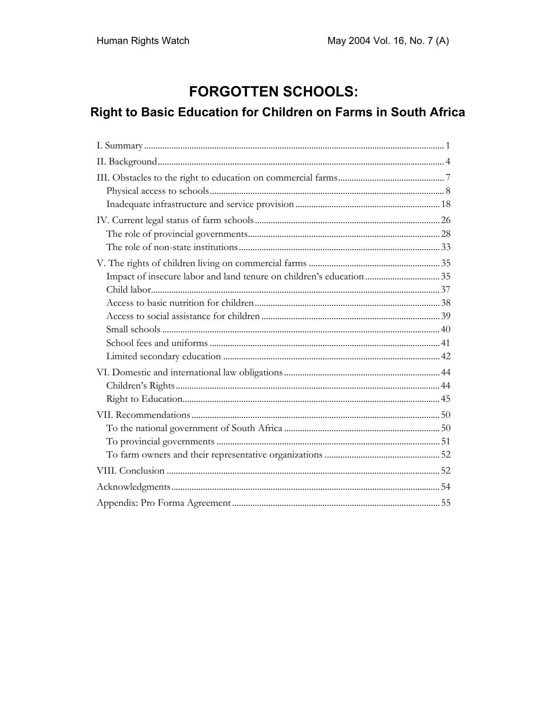# **FORGOTTEN SCHOOLS:**

# Right to Basic Education for Children on Farms in South Africa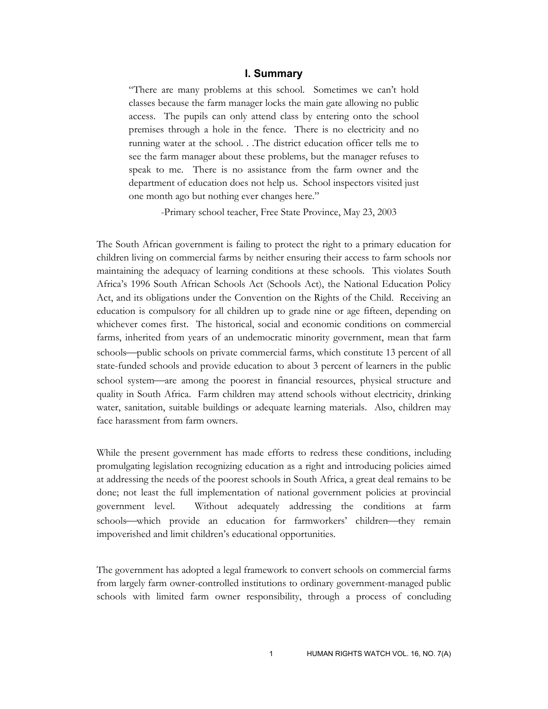## **I. Summary**

"There are many problems at this school. Sometimes we can't hold classes because the farm manager locks the main gate allowing no public access. The pupils can only attend class by entering onto the school premises through a hole in the fence. There is no electricity and no running water at the school. . .The district education officer tells me to see the farm manager about these problems, but the manager refuses to speak to me. There is no assistance from the farm owner and the department of education does not help us. School inspectors visited just one month ago but nothing ever changes here."

-Primary school teacher, Free State Province, May 23, 2003

The South African government is failing to protect the right to a primary education for children living on commercial farms by neither ensuring their access to farm schools nor maintaining the adequacy of learning conditions at these schools. This violates South Africa's 1996 South African Schools Act (Schools Act), the National Education Policy Act, and its obligations under the Convention on the Rights of the Child. Receiving an education is compulsory for all children up to grade nine or age fifteen, depending on whichever comes first. The historical, social and economic conditions on commercial farms, inherited from years of an undemocratic minority government, mean that farm schools—public schools on private commercial farms, which constitute 13 percent of all state-funded schools and provide education to about 3 percent of learners in the public school system—are among the poorest in financial resources, physical structure and quality in South Africa. Farm children may attend schools without electricity, drinking water, sanitation, suitable buildings or adequate learning materials. Also, children may face harassment from farm owners.

While the present government has made efforts to redress these conditions, including promulgating legislation recognizing education as a right and introducing policies aimed at addressing the needs of the poorest schools in South Africa, a great deal remains to be done; not least the full implementation of national government policies at provincial government level. Without adequately addressing the conditions at farm schools—which provide an education for farmworkers' children—they remain impoverished and limit children's educational opportunities.

The government has adopted a legal framework to convert schools on commercial farms from largely farm owner-controlled institutions to ordinary government-managed public schools with limited farm owner responsibility, through a process of concluding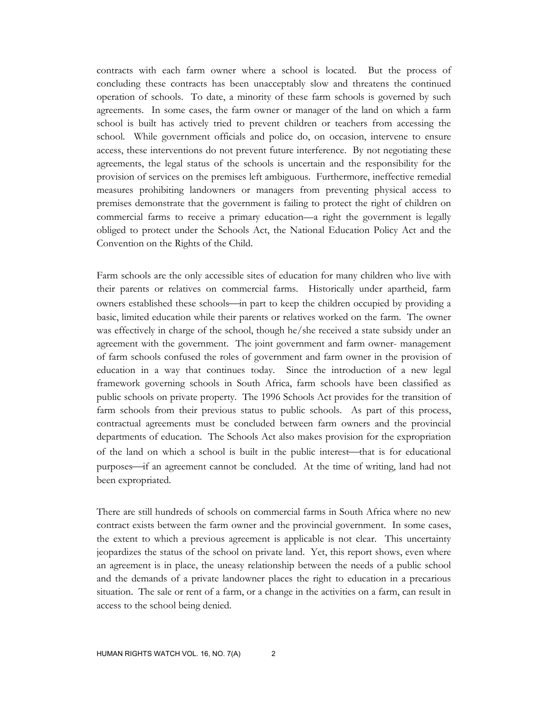contracts with each farm owner where a school is located. But the process of concluding these contracts has been unacceptably slow and threatens the continued operation of schools. To date, a minority of these farm schools is governed by such agreements. In some cases, the farm owner or manager of the land on which a farm school is built has actively tried to prevent children or teachers from accessing the school. While government officials and police do, on occasion, intervene to ensure access, these interventions do not prevent future interference. By not negotiating these agreements, the legal status of the schools is uncertain and the responsibility for the provision of services on the premises left ambiguous. Furthermore, ineffective remedial measures prohibiting landowners or managers from preventing physical access to premises demonstrate that the government is failing to protect the right of children on commercial farms to receive a primary education––a right the government is legally obliged to protect under the Schools Act, the National Education Policy Act and the Convention on the Rights of the Child.

Farm schools are the only accessible sites of education for many children who live with their parents or relatives on commercial farms. Historically under apartheid, farm owners established these schools—in part to keep the children occupied by providing a basic, limited education while their parents or relatives worked on the farm. The owner was effectively in charge of the school, though he/she received a state subsidy under an agreement with the government. The joint government and farm owner- management of farm schools confused the roles of government and farm owner in the provision of education in a way that continues today. Since the introduction of a new legal framework governing schools in South Africa, farm schools have been classified as public schools on private property. The 1996 Schools Act provides for the transition of farm schools from their previous status to public schools. As part of this process, contractual agreements must be concluded between farm owners and the provincial departments of education. The Schools Act also makes provision for the expropriation of the land on which a school is built in the public interest—that is for educational purposes—if an agreement cannot be concluded. At the time of writing, land had not been expropriated.

There are still hundreds of schools on commercial farms in South Africa where no new contract exists between the farm owner and the provincial government. In some cases, the extent to which a previous agreement is applicable is not clear. This uncertainty jeopardizes the status of the school on private land. Yet, this report shows, even where an agreement is in place, the uneasy relationship between the needs of a public school and the demands of a private landowner places the right to education in a precarious situation. The sale or rent of a farm, or a change in the activities on a farm, can result in access to the school being denied.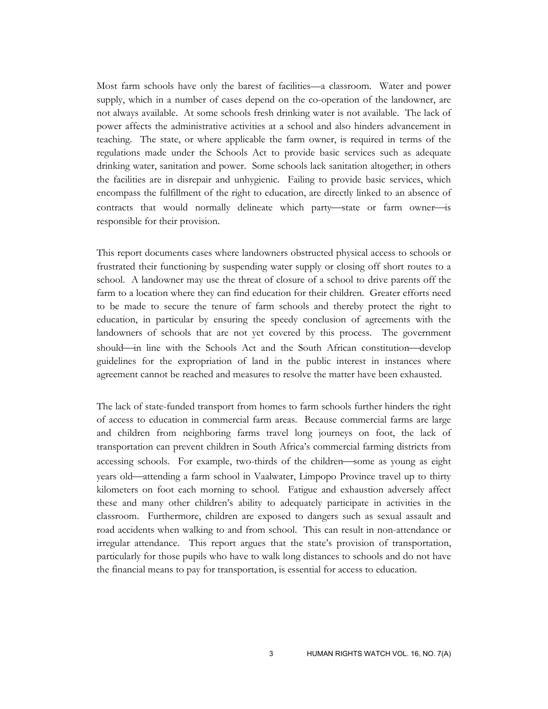Most farm schools have only the barest of facilities—a classroom. Water and power supply, which in a number of cases depend on the co-operation of the landowner, are not always available. At some schools fresh drinking water is not available. The lack of power affects the administrative activities at a school and also hinders advancement in teaching. The state, or where applicable the farm owner, is required in terms of the regulations made under the Schools Act to provide basic services such as adequate drinking water, sanitation and power. Some schools lack sanitation altogether; in others the facilities are in disrepair and unhygienic. Failing to provide basic services, which encompass the fulfillment of the right to education, are directly linked to an absence of contracts that would normally delineate which party-state or farm owner-is responsible for their provision.

This report documents cases where landowners obstructed physical access to schools or frustrated their functioning by suspending water supply or closing off short routes to a school. A landowner may use the threat of closure of a school to drive parents off the farm to a location where they can find education for their children. Greater efforts need to be made to secure the tenure of farm schools and thereby protect the right to education, in particular by ensuring the speedy conclusion of agreements with the landowners of schools that are not yet covered by this process. The government should—in line with the Schools Act and the South African constitution—develop guidelines for the expropriation of land in the public interest in instances where agreement cannot be reached and measures to resolve the matter have been exhausted.

The lack of state-funded transport from homes to farm schools further hinders the right of access to education in commercial farm areas. Because commercial farms are large and children from neighboring farms travel long journeys on foot, the lack of transportation can prevent children in South Africa's commercial farming districts from accessing schools. For example, two-thirds of the children—some as young as eight years old—attending a farm school in Vaalwater, Limpopo Province travel up to thirty kilometers on foot each morning to school. Fatigue and exhaustion adversely affect these and many other children's ability to adequately participate in activities in the classroom. Furthermore, children are exposed to dangers such as sexual assault and road accidents when walking to and from school. This can result in non-attendance or irregular attendance. This report argues that the state's provision of transportation, particularly for those pupils who have to walk long distances to schools and do not have the financial means to pay for transportation, is essential for access to education.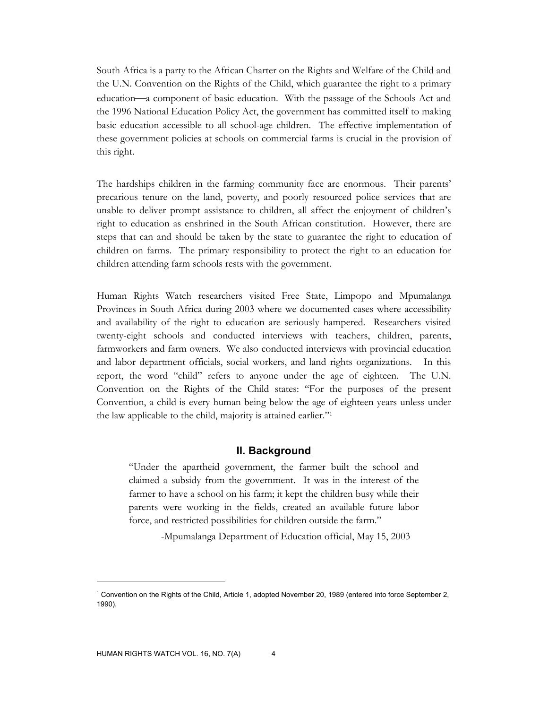South Africa is a party to the African Charter on the Rights and Welfare of the Child and the U.N. Convention on the Rights of the Child, which guarantee the right to a primary education—a component of basic education. With the passage of the Schools Act and the 1996 National Education Policy Act, the government has committed itself to making basic education accessible to all school-age children. The effective implementation of these government policies at schools on commercial farms is crucial in the provision of this right.

The hardships children in the farming community face are enormous. Their parents' precarious tenure on the land, poverty, and poorly resourced police services that are unable to deliver prompt assistance to children, all affect the enjoyment of children's right to education as enshrined in the South African constitution. However, there are steps that can and should be taken by the state to guarantee the right to education of children on farms. The primary responsibility to protect the right to an education for children attending farm schools rests with the government.

Human Rights Watch researchers visited Free State, Limpopo and Mpumalanga Provinces in South Africa during 2003 where we documented cases where accessibility and availability of the right to education are seriously hampered. Researchers visited twenty-eight schools and conducted interviews with teachers, children, parents, farmworkers and farm owners. We also conducted interviews with provincial education and labor department officials, social workers, and land rights organizations. In this report, the word "child" refers to anyone under the age of eighteen. The U.N. Convention on the Rights of the Child states: "For the purposes of the present Convention, a child is every human being below the age of eighteen years unless under the law applicable to the child, majority is attained earlier."1

### **II. Background**

"Under the apartheid government, the farmer built the school and claimed a subsidy from the government. It was in the interest of the farmer to have a school on his farm; it kept the children busy while their parents were working in the fields, created an available future labor force, and restricted possibilities for children outside the farm."

-Mpumalanga Department of Education official, May 15, 2003

<sup>&</sup>lt;sup>1</sup> Convention on the Rights of the Child, Article 1, adopted November 20, 1989 (entered into force September 2, 1990).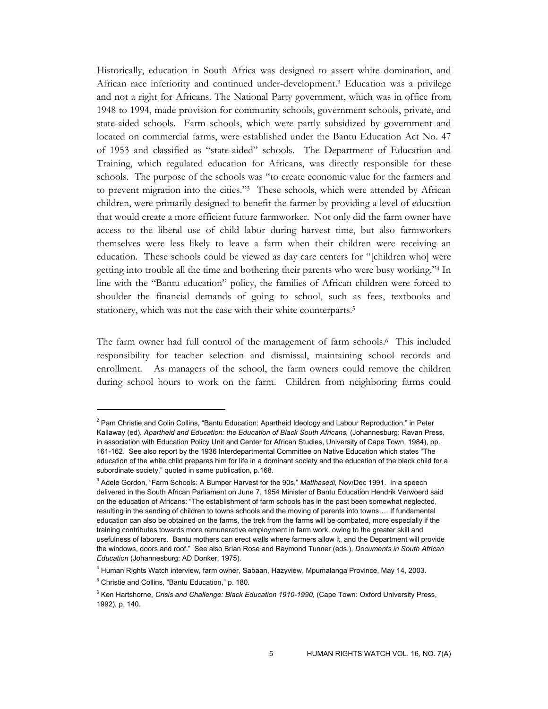Historically, education in South Africa was designed to assert white domination, and African race inferiority and continued under-development.2 Education was a privilege and not a right for Africans. The National Party government, which was in office from 1948 to 1994, made provision for community schools, government schools, private, and state-aided schools. Farm schools, which were partly subsidized by government and located on commercial farms, were established under the Bantu Education Act No. 47 of 1953 and classified as "state-aided" schools. The Department of Education and Training, which regulated education for Africans, was directly responsible for these schools. The purpose of the schools was "to create economic value for the farmers and to prevent migration into the cities."3 These schools, which were attended by African children, were primarily designed to benefit the farmer by providing a level of education that would create a more efficient future farmworker. Not only did the farm owner have access to the liberal use of child labor during harvest time, but also farmworkers themselves were less likely to leave a farm when their children were receiving an education. These schools could be viewed as day care centers for "[children who] were getting into trouble all the time and bothering their parents who were busy working."4 In line with the "Bantu education" policy, the families of African children were forced to shoulder the financial demands of going to school, such as fees, textbooks and stationery, which was not the case with their white counterparts.5

The farm owner had full control of the management of farm schools.6 This included responsibility for teacher selection and dismissal, maintaining school records and enrollment. As managers of the school, the farm owners could remove the children during school hours to work on the farm. Children from neighboring farms could

<sup>&</sup>lt;sup>2</sup> Pam Christie and Colin Collins, "Bantu Education: Apartheid Ideology and Labour Reproduction," in Peter Kallaway (ed), *Apartheid and Education: the Education of Black South Africans,* (Johannesburg: Ravan Press, in association with Education Policy Unit and Center for African Studies, University of Cape Town, 1984), pp. 161-162. See also report by the 1936 Interdepartmental Committee on Native Education which states "The education of the white child prepares him for life in a dominant society and the education of the black child for a subordinate society," quoted in same publication, p.168.

<sup>3</sup> Adele Gordon, "Farm Schools: A Bumper Harvest for the 90s," *Matlhasedi,* Nov/Dec 1991. In a speech delivered in the South African Parliament on June 7, 1954 Minister of Bantu Education Hendrik Verwoerd said on the education of Africans: "The establishment of farm schools has in the past been somewhat neglected, resulting in the sending of children to towns schools and the moving of parents into towns…. If fundamental education can also be obtained on the farms, the trek from the farms will be combated, more especially if the training contributes towards more remunerative employment in farm work, owing to the greater skill and usefulness of laborers. Bantu mothers can erect walls where farmers allow it, and the Department will provide the windows, doors and roof." See also Brian Rose and Raymond Tunner (eds.), *Documents in South African Education* (Johannesburg: AD Donker, 1975).

<sup>4</sup> Human Rights Watch interview, farm owner, Sabaan, Hazyview, Mpumalanga Province, May 14, 2003.

<sup>5</sup> Christie and Collins, "Bantu Education," p. 180.

<sup>&</sup>lt;sup>6</sup> Ken Hartshorne, *Crisis and Challenge: Black Education 1910-1990,* (Cape Town: Oxford University Press, 1992), p. 140.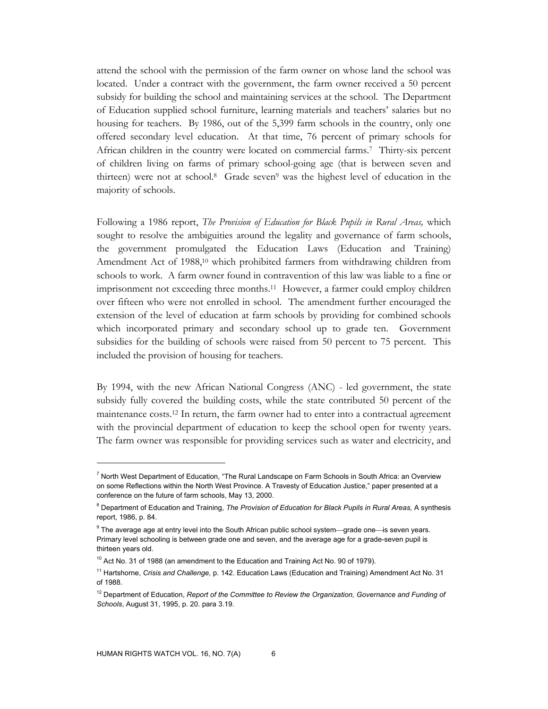attend the school with the permission of the farm owner on whose land the school was located. Under a contract with the government, the farm owner received a 50 percent subsidy for building the school and maintaining services at the school. The Department of Education supplied school furniture, learning materials and teachers' salaries but no housing for teachers. By 1986, out of the 5,399 farm schools in the country, only one offered secondary level education. At that time, 76 percent of primary schools for African children in the country were located on commercial farms.7 Thirty-six percent of children living on farms of primary school-going age (that is between seven and thirteen) were not at school.8 Grade seven9 was the highest level of education in the majority of schools.

Following a 1986 report, *The Provision of Education for Black Pupils in Rural Areas,* which sought to resolve the ambiguities around the legality and governance of farm schools, the government promulgated the Education Laws (Education and Training) Amendment Act of 1988,<sup>10</sup> which prohibited farmers from withdrawing children from schools to work. A farm owner found in contravention of this law was liable to a fine or imprisonment not exceeding three months.11 However, a farmer could employ children over fifteen who were not enrolled in school. The amendment further encouraged the extension of the level of education at farm schools by providing for combined schools which incorporated primary and secondary school up to grade ten. Government subsidies for the building of schools were raised from 50 percent to 75 percent. This included the provision of housing for teachers.

By 1994, with the new African National Congress (ANC) - led government, the state subsidy fully covered the building costs, while the state contributed 50 percent of the maintenance costs.12 In return, the farm owner had to enter into a contractual agreement with the provincial department of education to keep the school open for twenty years. The farm owner was responsible for providing services such as water and electricity, and

<sup>&</sup>lt;sup>7</sup> North West Department of Education, "The Rural Landscape on Farm Schools in South Africa: an Overview on some Reflections within the North West Province. A Travesty of Education Justice," paper presented at a conference on the future of farm schools, May 13, 2000.

<sup>&</sup>lt;sup>8</sup> Department of Education and Training, *The Provision of Education for Black Pupils in Rural Areas, A synthesis* report, 1986, p. 84.

 $9$  The average age at entry level into the South African public school system—grade one—is seven years. Primary level schooling is between grade one and seven, and the average age for a grade-seven pupil is thirteen years old.

<sup>&</sup>lt;sup>10</sup> Act No. 31 of 1988 (an amendment to the Education and Training Act No. 90 of 1979).

<sup>11</sup> Hartshorne, *Crisis and Challenge,* p. 142. Education Laws (Education and Training) Amendment Act No. 31 of 1988.

<sup>&</sup>lt;sup>12</sup> Department of Education, *Report of the Committee to Review the Organization, Governance and Funding of Schools*, August 31, 1995, p. 20. para 3.19.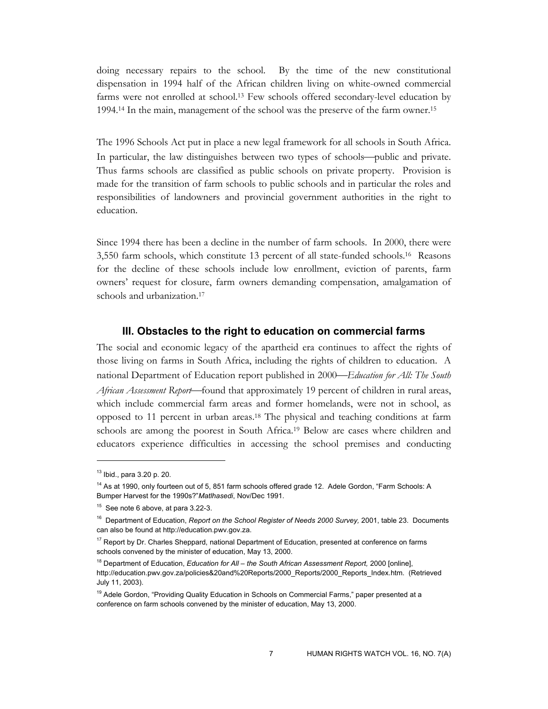doing necessary repairs to the school. By the time of the new constitutional dispensation in 1994 half of the African children living on white-owned commercial farms were not enrolled at school.13 Few schools offered secondary-level education by 1994.14 In the main, management of the school was the preserve of the farm owner.15

The 1996 Schools Act put in place a new legal framework for all schools in South Africa. In particular, the law distinguishes between two types of schools—public and private. Thus farms schools are classified as public schools on private property. Provision is made for the transition of farm schools to public schools and in particular the roles and responsibilities of landowners and provincial government authorities in the right to education.

Since 1994 there has been a decline in the number of farm schools. In 2000, there were 3,550 farm schools, which constitute 13 percent of all state-funded schools.16 Reasons for the decline of these schools include low enrollment, eviction of parents, farm owners' request for closure, farm owners demanding compensation, amalgamation of schools and urbanization.<sup>17</sup>

#### **III. Obstacles to the right to education on commercial farms**

The social and economic legacy of the apartheid era continues to affect the rights of those living on farms in South Africa, including the rights of children to education. A national Department of Education report published in 2000*Education for All: The South African Assessment Report*—found that approximately 19 percent of children in rural areas, which include commercial farm areas and former homelands, were not in school, as opposed to 11 percent in urban areas.18 The physical and teaching conditions at farm schools are among the poorest in South Africa.19 Below are cases where children and educators experience difficulties in accessing the school premises and conducting

<sup>13</sup> Ibid., para 3.20 p. 20.

<sup>&</sup>lt;sup>14</sup> As at 1990, only fourteen out of 5, 851 farm schools offered grade 12. Adele Gordon, "Farm Schools: A Bumper Harvest for the 1990s?"*Matlhasedi*, Nov/Dec 1991.

<sup>&</sup>lt;sup>15</sup> See note 6 above, at para 3.22-3.

<sup>&</sup>lt;sup>16</sup> Department of Education, *Report on the School Register of Needs 2000 Survey*, 2001, table 23. Documents can also be found at http://education.pwv.gov.za.

<sup>&</sup>lt;sup>17</sup> Report by Dr. Charles Sheppard, national Department of Education, presented at conference on farms schools convened by the minister of education, May 13, 2000.

<sup>&</sup>lt;sup>18</sup> Department of Education, *Education for All – the South African Assessment Report*, 2000 [online], http://education.pwv.gov.za/policies&20and%20Reports/2000\_Reports/2000\_Reports\_Index.htm. (Retrieved July 11, 2003).

<sup>&</sup>lt;sup>19</sup> Adele Gordon, "Providing Quality Education in Schools on Commercial Farms," paper presented at a conference on farm schools convened by the minister of education, May 13, 2000.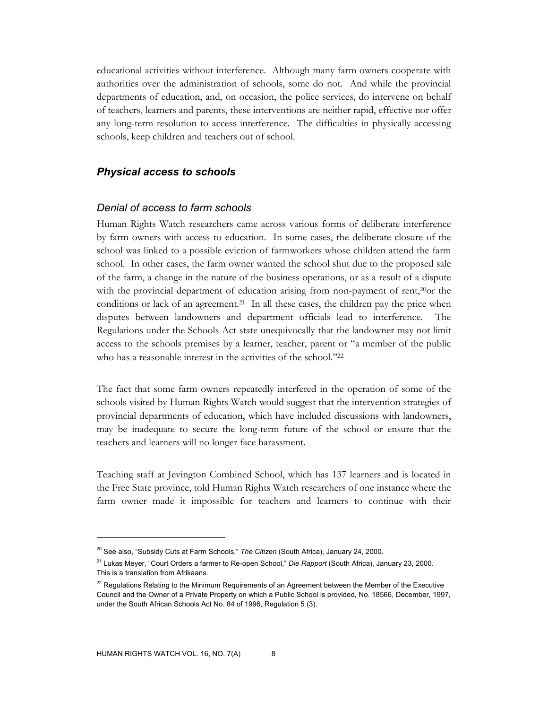educational activities without interference. Although many farm owners cooperate with authorities over the administration of schools, some do not. And while the provincial departments of education, and, on occasion, the police services, do intervene on behalf of teachers, learners and parents, these interventions are neither rapid, effective nor offer any long-term resolution to access interference. The difficulties in physically accessing schools, keep children and teachers out of school.

## *Physical access to schools*

#### *Denial of access to farm schools*

Human Rights Watch researchers came across various forms of deliberate interference by farm owners with access to education. In some cases, the deliberate closure of the school was linked to a possible eviction of farmworkers whose children attend the farm school. In other cases, the farm owner wanted the school shut due to the proposed sale of the farm, a change in the nature of the business operations, or as a result of a dispute with the provincial department of education arising from non-payment of rent,<sup>20</sup>or the conditions or lack of an agreement.<sup>21</sup> In all these cases, the children pay the price when disputes between landowners and department officials lead to interference. The Regulations under the Schools Act state unequivocally that the landowner may not limit access to the schools premises by a learner, teacher, parent or "a member of the public who has a reasonable interest in the activities of the school."<sup>22</sup>

The fact that some farm owners repeatedly interfered in the operation of some of the schools visited by Human Rights Watch would suggest that the intervention strategies of provincial departments of education, which have included discussions with landowners, may be inadequate to secure the long-term future of the school or ensure that the teachers and learners will no longer face harassment.

Teaching staff at Jevington Combined School, which has 137 learners and is located in the Free State province, told Human Rights Watch researchers of one instance where the farm owner made it impossible for teachers and learners to continue with their

<sup>20</sup> See also, "Subsidy Cuts at Farm Schools," *The Citizen* (South Africa), January 24, 2000.

<sup>21</sup> Lukas Meyer, "Court Orders a farmer to Re-open School," *Die Rapport* (South Africa), January 23, 2000. This is a translation from Afrikaans.

 $22$  Regulations Relating to the Minimum Requirements of an Agreement between the Member of the Executive Council and the Owner of a Private Property on which a Public School is provided, No. 18566, December, 1997, under the South African Schools Act No. 84 of 1996, Regulation 5 (3).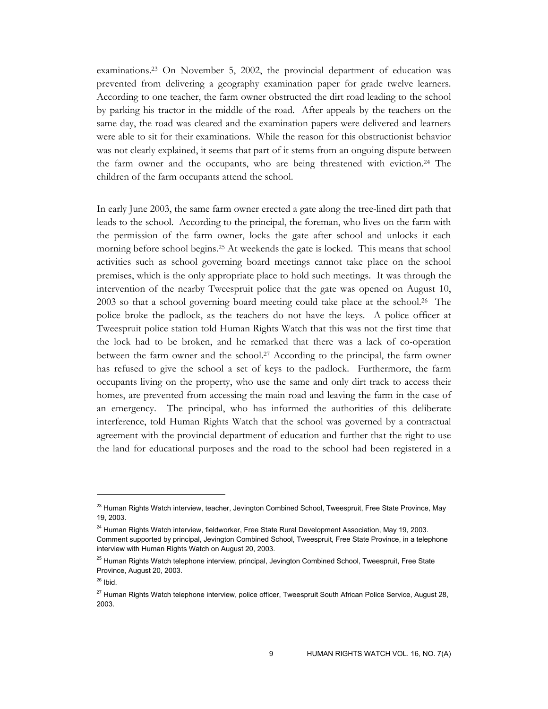examinations.23 On November 5, 2002, the provincial department of education was prevented from delivering a geography examination paper for grade twelve learners. According to one teacher, the farm owner obstructed the dirt road leading to the school by parking his tractor in the middle of the road. After appeals by the teachers on the same day, the road was cleared and the examination papers were delivered and learners were able to sit for their examinations. While the reason for this obstructionist behavior was not clearly explained, it seems that part of it stems from an ongoing dispute between the farm owner and the occupants, who are being threatened with eviction.24 The children of the farm occupants attend the school.

In early June 2003, the same farm owner erected a gate along the tree-lined dirt path that leads to the school. According to the principal, the foreman, who lives on the farm with the permission of the farm owner, locks the gate after school and unlocks it each morning before school begins.<sup>25</sup> At weekends the gate is locked. This means that school activities such as school governing board meetings cannot take place on the school premises, which is the only appropriate place to hold such meetings. It was through the intervention of the nearby Tweespruit police that the gate was opened on August 10, 2003 so that a school governing board meeting could take place at the school.26 The police broke the padlock, as the teachers do not have the keys. A police officer at Tweespruit police station told Human Rights Watch that this was not the first time that the lock had to be broken, and he remarked that there was a lack of co-operation between the farm owner and the school.27 According to the principal, the farm owner has refused to give the school a set of keys to the padlock. Furthermore, the farm occupants living on the property, who use the same and only dirt track to access their homes, are prevented from accessing the main road and leaving the farm in the case of an emergency. The principal, who has informed the authorities of this deliberate interference, told Human Rights Watch that the school was governed by a contractual agreement with the provincial department of education and further that the right to use the land for educational purposes and the road to the school had been registered in a

<sup>&</sup>lt;sup>23</sup> Human Rights Watch interview, teacher, Jevington Combined School, Tweespruit, Free State Province, May 19, 2003.

<sup>&</sup>lt;sup>24</sup> Human Rights Watch interview, fieldworker, Free State Rural Development Association, May 19, 2003. Comment supported by principal, Jevington Combined School, Tweespruit, Free State Province, in a telephone interview with Human Rights Watch on August 20, 2003.

<sup>&</sup>lt;sup>25</sup> Human Rights Watch telephone interview, principal, Jevington Combined School, Tweespruit, Free State Province, August 20, 2003.

 $26$  Ibid.

<sup>&</sup>lt;sup>27</sup> Human Rights Watch telephone interview, police officer, Tweespruit South African Police Service, August 28, 2003.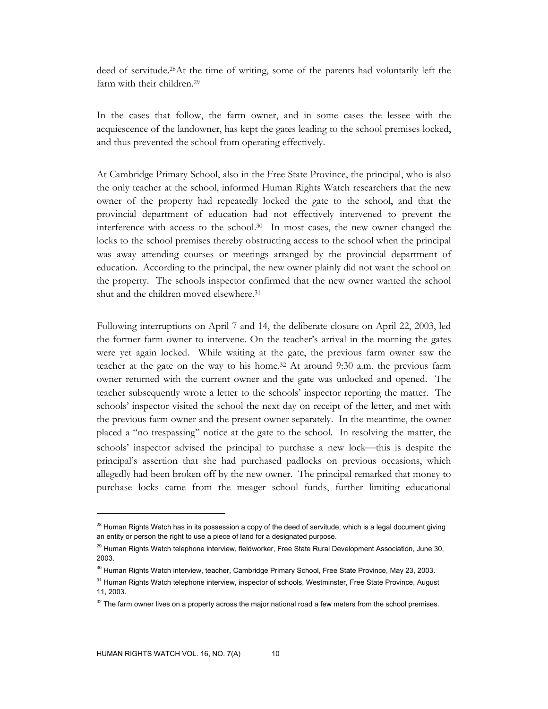deed of servitude.28At the time of writing, some of the parents had voluntarily left the farm with their children.<sup>29</sup>

In the cases that follow, the farm owner, and in some cases the lessee with the acquiescence of the landowner, has kept the gates leading to the school premises locked, and thus prevented the school from operating effectively.

At Cambridge Primary School, also in the Free State Province, the principal, who is also the only teacher at the school, informed Human Rights Watch researchers that the new owner of the property had repeatedly locked the gate to the school, and that the provincial department of education had not effectively intervened to prevent the interference with access to the school. $30$  In most cases, the new owner changed the locks to the school premises thereby obstructing access to the school when the principal was away attending courses or meetings arranged by the provincial department of education. According to the principal, the new owner plainly did not want the school on the property. The schools inspector confirmed that the new owner wanted the school shut and the children moved elsewhere.31

Following interruptions on April 7 and 14, the deliberate closure on April 22, 2003, led the former farm owner to intervene. On the teacher's arrival in the morning the gates were yet again locked. While waiting at the gate, the previous farm owner saw the teacher at the gate on the way to his home.32 At around 9:30 a.m. the previous farm owner returned with the current owner and the gate was unlocked and opened. The teacher subsequently wrote a letter to the schools' inspector reporting the matter. The schools' inspector visited the school the next day on receipt of the letter, and met with the previous farm owner and the present owner separately. In the meantime, the owner placed a "no trespassing" notice at the gate to the school. In resolving the matter, the schools' inspector advised the principal to purchase a new lock—this is despite the principal's assertion that she had purchased padlocks on previous occasions, which allegedly had been broken off by the new owner. The principal remarked that money to purchase locks came from the meager school funds, further limiting educational

 $28$  Human Rights Watch has in its possession a copy of the deed of servitude, which is a legal document giving an entity or person the right to use a piece of land for a designated purpose.

<sup>&</sup>lt;sup>29</sup> Human Rights Watch telephone interview, fieldworker, Free State Rural Development Association, June 30, 2003.

 $30$  Human Rights Watch interview, teacher, Cambridge Primary School, Free State Province, May 23, 2003.

<sup>&</sup>lt;sup>31</sup> Human Rights Watch telephone interview, inspector of schools, Westminster, Free State Province, August 11, 2003.

 $32$  The farm owner lives on a property across the major national road a few meters from the school premises.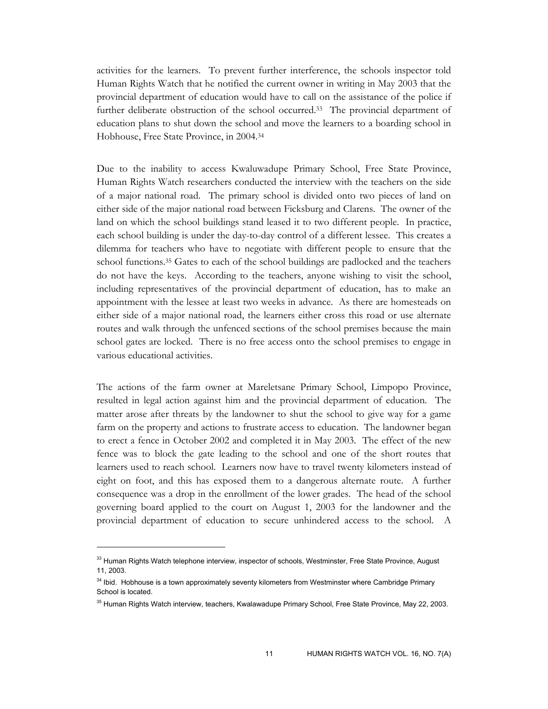activities for the learners. To prevent further interference, the schools inspector told Human Rights Watch that he notified the current owner in writing in May 2003 that the provincial department of education would have to call on the assistance of the police if further deliberate obstruction of the school occurred.33 The provincial department of education plans to shut down the school and move the learners to a boarding school in Hobhouse, Free State Province, in 2004.34

Due to the inability to access Kwaluwadupe Primary School, Free State Province, Human Rights Watch researchers conducted the interview with the teachers on the side of a major national road. The primary school is divided onto two pieces of land on either side of the major national road between Ficksburg and Clarens. The owner of the land on which the school buildings stand leased it to two different people. In practice, each school building is under the day-to-day control of a different lessee. This creates a dilemma for teachers who have to negotiate with different people to ensure that the school functions.35 Gates to each of the school buildings are padlocked and the teachers do not have the keys. According to the teachers, anyone wishing to visit the school, including representatives of the provincial department of education, has to make an appointment with the lessee at least two weeks in advance. As there are homesteads on either side of a major national road, the learners either cross this road or use alternate routes and walk through the unfenced sections of the school premises because the main school gates are locked. There is no free access onto the school premises to engage in various educational activities.

The actions of the farm owner at Mareletsane Primary School, Limpopo Province, resulted in legal action against him and the provincial department of education. The matter arose after threats by the landowner to shut the school to give way for a game farm on the property and actions to frustrate access to education. The landowner began to erect a fence in October 2002 and completed it in May 2003. The effect of the new fence was to block the gate leading to the school and one of the short routes that learners used to reach school. Learners now have to travel twenty kilometers instead of eight on foot, and this has exposed them to a dangerous alternate route. A further consequence was a drop in the enrollment of the lower grades. The head of the school governing board applied to the court on August 1, 2003 for the landowner and the provincial department of education to secure unhindered access to the school. A

<sup>&</sup>lt;sup>33</sup> Human Rights Watch telephone interview, inspector of schools, Westminster, Free State Province, August 11, 2003.

<sup>&</sup>lt;sup>34</sup> Ibid. Hobhouse is a town approximately seventy kilometers from Westminster where Cambridge Primary School is located.

<sup>&</sup>lt;sup>35</sup> Human Rights Watch interview, teachers, Kwalawadupe Primary School, Free State Province, May 22, 2003.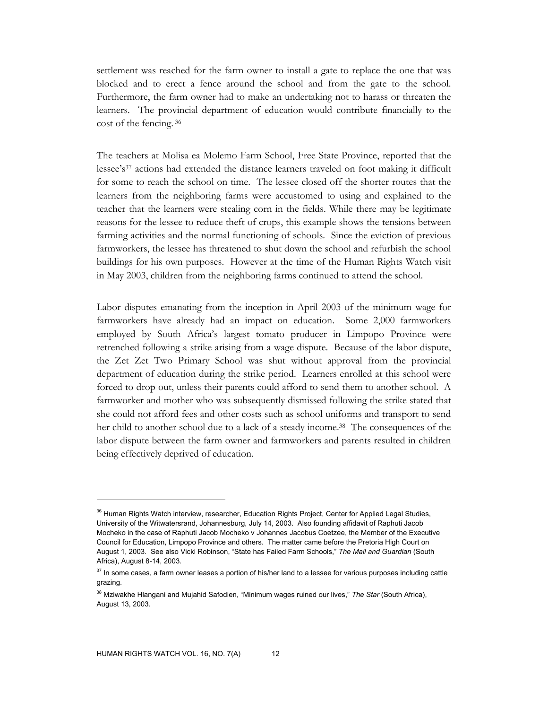settlement was reached for the farm owner to install a gate to replace the one that was blocked and to erect a fence around the school and from the gate to the school. Furthermore, the farm owner had to make an undertaking not to harass or threaten the learners. The provincial department of education would contribute financially to the cost of the fencing. 36

The teachers at Molisa ea Molemo Farm School, Free State Province, reported that the lessee's<sup>37</sup> actions had extended the distance learners traveled on foot making it difficult for some to reach the school on time. The lessee closed off the shorter routes that the learners from the neighboring farms were accustomed to using and explained to the teacher that the learners were stealing corn in the fields. While there may be legitimate reasons for the lessee to reduce theft of crops, this example shows the tensions between farming activities and the normal functioning of schools. Since the eviction of previous farmworkers, the lessee has threatened to shut down the school and refurbish the school buildings for his own purposes. However at the time of the Human Rights Watch visit in May 2003, children from the neighboring farms continued to attend the school.

Labor disputes emanating from the inception in April 2003 of the minimum wage for farmworkers have already had an impact on education. Some 2,000 farmworkers employed by South Africa's largest tomato producer in Limpopo Province were retrenched following a strike arising from a wage dispute. Because of the labor dispute, the Zet Zet Two Primary School was shut without approval from the provincial department of education during the strike period. Learners enrolled at this school were forced to drop out, unless their parents could afford to send them to another school. A farmworker and mother who was subsequently dismissed following the strike stated that she could not afford fees and other costs such as school uniforms and transport to send her child to another school due to a lack of a steady income.<sup>38</sup> The consequences of the labor dispute between the farm owner and farmworkers and parents resulted in children being effectively deprived of education.

<sup>&</sup>lt;sup>36</sup> Human Rights Watch interview, researcher, Education Rights Project, Center for Applied Legal Studies, University of the Witwatersrand, Johannesburg, July 14, 2003. Also founding affidavit of Raphuti Jacob Mocheko in the case of Raphuti Jacob Mocheko v Johannes Jacobus Coetzee, the Member of the Executive Council for Education, Limpopo Province and others. The matter came before the Pretoria High Court on August 1, 2003. See also Vicki Robinson, "State has Failed Farm Schools," *The Mail and Guardian* (South Africa), August 8-14, 2003.

<sup>&</sup>lt;sup>37</sup> In some cases, a farm owner leases a portion of his/her land to a lessee for various purposes including cattle grazing.

<sup>&</sup>lt;sup>38</sup> Mziwakhe Hlangani and Mujahid Safodien, "Minimum wages ruined our lives," The Star (South Africa), August 13, 2003.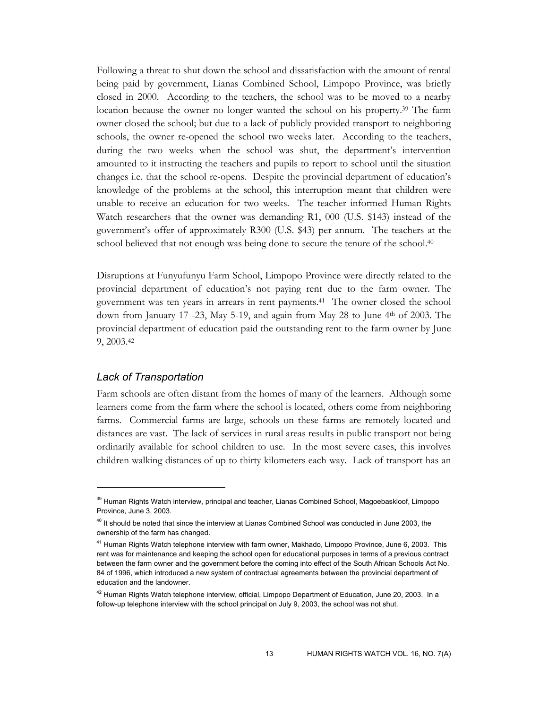Following a threat to shut down the school and dissatisfaction with the amount of rental being paid by government, Lianas Combined School, Limpopo Province, was briefly closed in 2000. According to the teachers, the school was to be moved to a nearby location because the owner no longer wanted the school on his property.39 The farm owner closed the school; but due to a lack of publicly provided transport to neighboring schools, the owner re-opened the school two weeks later. According to the teachers, during the two weeks when the school was shut, the department's intervention amounted to it instructing the teachers and pupils to report to school until the situation changes i.e. that the school re-opens. Despite the provincial department of education's knowledge of the problems at the school, this interruption meant that children were unable to receive an education for two weeks. The teacher informed Human Rights Watch researchers that the owner was demanding R1, 000 (U.S. \$143) instead of the government's offer of approximately R300 (U.S. \$43) per annum. The teachers at the school believed that not enough was being done to secure the tenure of the school.<sup>40</sup>

Disruptions at Funyufunyu Farm School, Limpopo Province were directly related to the provincial department of education's not paying rent due to the farm owner. The government was ten years in arrears in rent payments.41 The owner closed the school down from January 17 -23, May 5-19, and again from May 28 to June 4th of 2003. The provincial department of education paid the outstanding rent to the farm owner by June 9, 2003.42

## *Lack of Transportation*

 $\overline{a}$ 

Farm schools are often distant from the homes of many of the learners. Although some learners come from the farm where the school is located, others come from neighboring farms. Commercial farms are large, schools on these farms are remotely located and distances are vast. The lack of services in rural areas results in public transport not being ordinarily available for school children to use. In the most severe cases, this involves children walking distances of up to thirty kilometers each way. Lack of transport has an

<sup>&</sup>lt;sup>39</sup> Human Rights Watch interview, principal and teacher, Lianas Combined School, Magoebaskloof, Limpopo Province, June 3, 2003.

<sup>&</sup>lt;sup>40</sup> It should be noted that since the interview at Lianas Combined School was conducted in June 2003, the ownership of the farm has changed.

<sup>&</sup>lt;sup>41</sup> Human Rights Watch telephone interview with farm owner, Makhado, Limpopo Province, June 6, 2003. This rent was for maintenance and keeping the school open for educational purposes in terms of a previous contract between the farm owner and the government before the coming into effect of the South African Schools Act No. 84 of 1996, which introduced a new system of contractual agreements between the provincial department of education and the landowner.

 $42$  Human Rights Watch telephone interview, official, Limpopo Department of Education, June 20, 2003. In a follow-up telephone interview with the school principal on July 9, 2003, the school was not shut.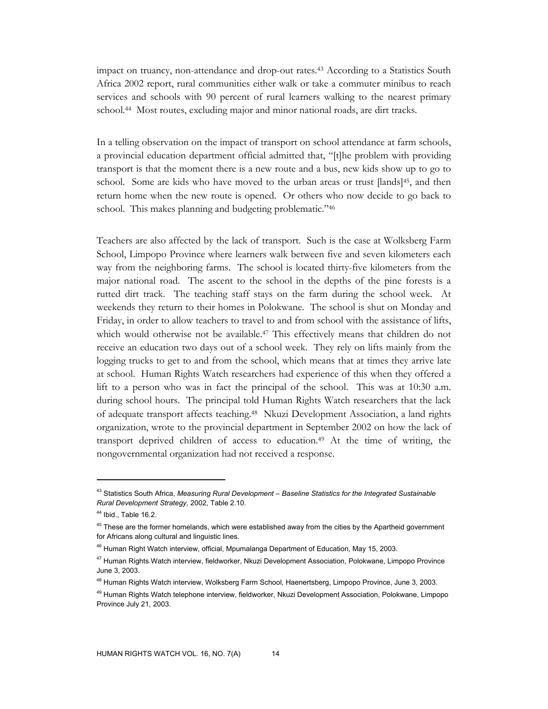impact on truancy, non-attendance and drop-out rates.43 According to a Statistics South Africa 2002 report, rural communities either walk or take a commuter minibus to reach services and schools with 90 percent of rural learners walking to the nearest primary school.44 Most routes, excluding major and minor national roads, are dirt tracks.

In a telling observation on the impact of transport on school attendance at farm schools, a provincial education department official admitted that, "[t]he problem with providing transport is that the moment there is a new route and a bus, new kids show up to go to school. Some are kids who have moved to the urban areas or trust [lands]45, and then return home when the new route is opened. Or others who now decide to go back to school. This makes planning and budgeting problematic."<sup>46</sup>

Teachers are also affected by the lack of transport. Such is the case at Wolksberg Farm School, Limpopo Province where learners walk between five and seven kilometers each way from the neighboring farms. The school is located thirty-five kilometers from the major national road. The ascent to the school in the depths of the pine forests is a rutted dirt track. The teaching staff stays on the farm during the school week. At weekends they return to their homes in Polokwane. The school is shut on Monday and Friday, in order to allow teachers to travel to and from school with the assistance of lifts, which would otherwise not be available.<sup>47</sup> This effectively means that children do not receive an education two days out of a school week. They rely on lifts mainly from the logging trucks to get to and from the school, which means that at times they arrive late at school. Human Rights Watch researchers had experience of this when they offered a lift to a person who was in fact the principal of the school. This was at 10:30 a.m. during school hours. The principal told Human Rights Watch researchers that the lack of adequate transport affects teaching.48 Nkuzi Development Association, a land rights organization, wrote to the provincial department in September 2002 on how the lack of transport deprived children of access to education.49 At the time of writing, the nongovernmental organization had not received a response.

<sup>43</sup> Statistics South Africa, *Measuring Rural Development – Baseline Statistics for the Integrated Sustainable Rural Development Strategy,* 2002, Table 2.10.

<sup>44</sup> Ibid., Table 16.2.

<sup>&</sup>lt;sup>45</sup> These are the former homelands, which were established away from the cities by the Apartheid government for Africans along cultural and linguistic lines.

<sup>&</sup>lt;sup>46</sup> Human Right Watch interview, official, Mpumalanga Department of Education, May 15, 2003.

<sup>47</sup> Human Rights Watch interview, fieldworker, Nkuzi Development Association, Polokwane, Limpopo Province June 3, 2003.

<sup>&</sup>lt;sup>48</sup> Human Rights Watch interview, Wolksberg Farm School, Haenertsberg, Limpopo Province, June 3, 2003.

<sup>&</sup>lt;sup>49</sup> Human Rights Watch telephone interview, fieldworker, Nkuzi Development Association, Polokwane, Limpopo Province July 21, 2003.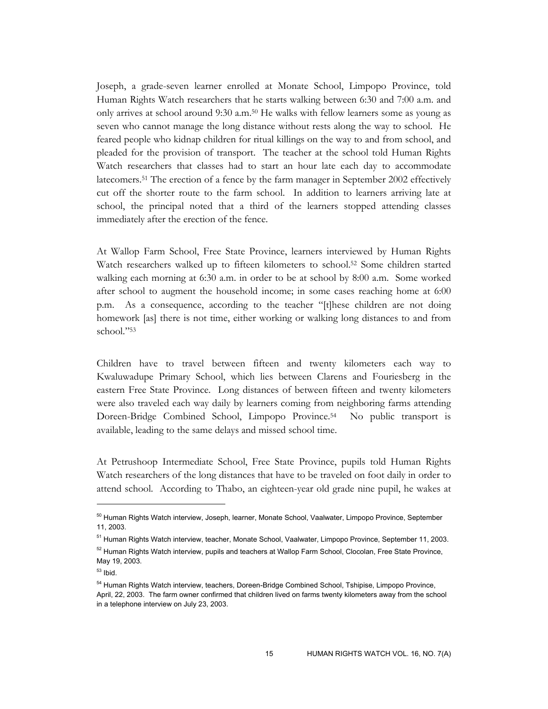Joseph, a grade-seven learner enrolled at Monate School, Limpopo Province, told Human Rights Watch researchers that he starts walking between 6:30 and 7:00 a.m. and only arrives at school around 9:30 a.m.50 He walks with fellow learners some as young as seven who cannot manage the long distance without rests along the way to school. He feared people who kidnap children for ritual killings on the way to and from school, and pleaded for the provision of transport. The teacher at the school told Human Rights Watch researchers that classes had to start an hour late each day to accommodate latecomers.51 The erection of a fence by the farm manager in September 2002 effectively cut off the shorter route to the farm school. In addition to learners arriving late at school, the principal noted that a third of the learners stopped attending classes immediately after the erection of the fence.

At Wallop Farm School, Free State Province, learners interviewed by Human Rights Watch researchers walked up to fifteen kilometers to school.52 Some children started walking each morning at 6:30 a.m. in order to be at school by 8:00 a.m. Some worked after school to augment the household income; in some cases reaching home at 6:00 p.m. As a consequence, according to the teacher "[t]hese children are not doing homework [as] there is not time, either working or walking long distances to and from school."53

Children have to travel between fifteen and twenty kilometers each way to Kwaluwadupe Primary School, which lies between Clarens and Fouriesberg in the eastern Free State Province. Long distances of between fifteen and twenty kilometers were also traveled each way daily by learners coming from neighboring farms attending Doreen-Bridge Combined School, Limpopo Province.54 No public transport is available, leading to the same delays and missed school time.

At Petrushoop Intermediate School, Free State Province, pupils told Human Rights Watch researchers of the long distances that have to be traveled on foot daily in order to attend school. According to Thabo, an eighteen-year old grade nine pupil, he wakes at

 $\ddot{\phantom{a}}$ 

<sup>&</sup>lt;sup>50</sup> Human Rights Watch interview, Joseph, learner, Monate School, Vaalwater, Limpopo Province, September 11, 2003.

<sup>&</sup>lt;sup>51</sup> Human Rights Watch interview, teacher, Monate School, Vaalwater, Limpopo Province, September 11, 2003. <sup>52</sup> Human Rights Watch interview, pupils and teachers at Wallop Farm School, Clocolan, Free State Province, May 19, 2003.

 $53$  Ibid.

<sup>&</sup>lt;sup>54</sup> Human Rights Watch interview, teachers, Doreen-Bridge Combined School, Tshipise, Limpopo Province, April, 22, 2003. The farm owner confirmed that children lived on farms twenty kilometers away from the school in a telephone interview on July 23, 2003.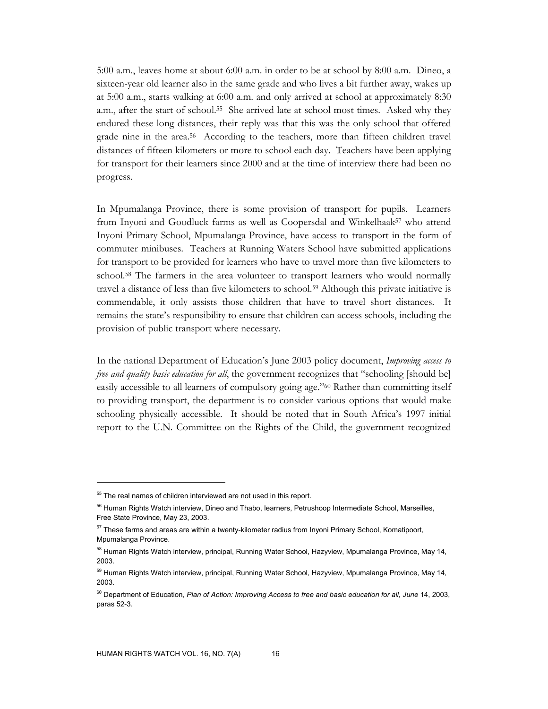5:00 a.m., leaves home at about 6:00 a.m. in order to be at school by 8:00 a.m. Dineo, a sixteen-year old learner also in the same grade and who lives a bit further away, wakes up at 5:00 a.m., starts walking at 6:00 a.m. and only arrived at school at approximately 8:30 a.m., after the start of school.55 She arrived late at school most times. Asked why they endured these long distances, their reply was that this was the only school that offered grade nine in the area.56 According to the teachers, more than fifteen children travel distances of fifteen kilometers or more to school each day. Teachers have been applying for transport for their learners since 2000 and at the time of interview there had been no progress.

In Mpumalanga Province, there is some provision of transport for pupils. Learners from Inyoni and Goodluck farms as well as Coopersdal and Winkelhaak<sup>57</sup> who attend Inyoni Primary School, Mpumalanga Province, have access to transport in the form of commuter minibuses. Teachers at Running Waters School have submitted applications for transport to be provided for learners who have to travel more than five kilometers to school.58 The farmers in the area volunteer to transport learners who would normally travel a distance of less than five kilometers to school.59 Although this private initiative is commendable, it only assists those children that have to travel short distances. It remains the state's responsibility to ensure that children can access schools, including the provision of public transport where necessary.

In the national Department of Education's June 2003 policy document, *Improving access to free and quality basic education for all*, the government recognizes that "schooling [should be] easily accessible to all learners of compulsory going age."60 Rather than committing itself to providing transport, the department is to consider various options that would make schooling physically accessible. It should be noted that in South Africa's 1997 initial report to the U.N. Committee on the Rights of the Child, the government recognized

 $55$  The real names of children interviewed are not used in this report.

<sup>&</sup>lt;sup>56</sup> Human Rights Watch interview, Dineo and Thabo, learners, Petrushoop Intermediate School, Marseilles, Free State Province, May 23, 2003.

 $57$  These farms and areas are within a twenty-kilometer radius from Inyoni Primary School, Komatipoort, Mpumalanga Province.

<sup>&</sup>lt;sup>58</sup> Human Rights Watch interview, principal, Running Water School, Hazyview, Mpumalanga Province, May 14, 2003.

<sup>&</sup>lt;sup>59</sup> Human Rights Watch interview, principal, Running Water School, Hazyview, Mpumalanga Province, May 14, 2003.

<sup>60</sup> Department of Education, *Plan of Action: Improving Access to free and basic education for all, June* 14, 2003, paras 52-3.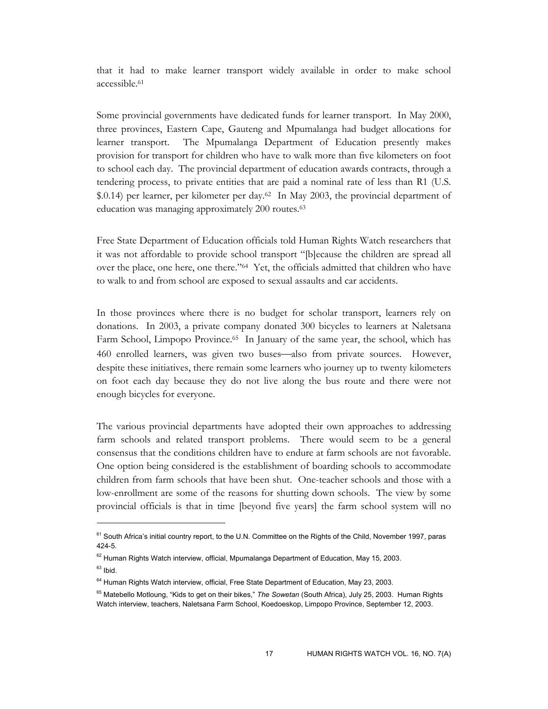that it had to make learner transport widely available in order to make school accessible.61

Some provincial governments have dedicated funds for learner transport. In May 2000, three provinces, Eastern Cape, Gauteng and Mpumalanga had budget allocations for learner transport. The Mpumalanga Department of Education presently makes provision for transport for children who have to walk more than five kilometers on foot to school each day. The provincial department of education awards contracts, through a tendering process, to private entities that are paid a nominal rate of less than R1 (U.S. \$.0.14) per learner, per kilometer per day.<sup>62</sup> In May 2003, the provincial department of education was managing approximately 200 routes.63

Free State Department of Education officials told Human Rights Watch researchers that it was not affordable to provide school transport "[b]ecause the children are spread all over the place, one here, one there."64 Yet, the officials admitted that children who have to walk to and from school are exposed to sexual assaults and car accidents.

In those provinces where there is no budget for scholar transport, learners rely on donations. In 2003, a private company donated 300 bicycles to learners at Naletsana Farm School, Limpopo Province.<sup>65</sup> In January of the same year, the school, which has 460 enrolled learners, was given two buses—also from private sources. However, despite these initiatives, there remain some learners who journey up to twenty kilometers on foot each day because they do not live along the bus route and there were not enough bicycles for everyone.

The various provincial departments have adopted their own approaches to addressing farm schools and related transport problems. There would seem to be a general consensus that the conditions children have to endure at farm schools are not favorable. One option being considered is the establishment of boarding schools to accommodate children from farm schools that have been shut. One-teacher schools and those with a low-enrollment are some of the reasons for shutting down schools. The view by some provincial officials is that in time [beyond five years] the farm school system will no

<sup>&</sup>lt;sup>61</sup> South Africa's initial country report, to the U.N. Committee on the Rights of the Child, November 1997, paras 424-5.

 $62$  Human Rights Watch interview, official, Mpumalanga Department of Education, May 15, 2003.

 $63$  Ibid.

<sup>&</sup>lt;sup>64</sup> Human Rights Watch interview, official, Free State Department of Education, May 23, 2003.

<sup>65</sup> Matebello Motloung, "Kids to get on their bikes," *The Sowetan* (South Africa), July 25, 2003. Human Rights Watch interview, teachers, Naletsana Farm School, Koedoeskop, Limpopo Province, September 12, 2003.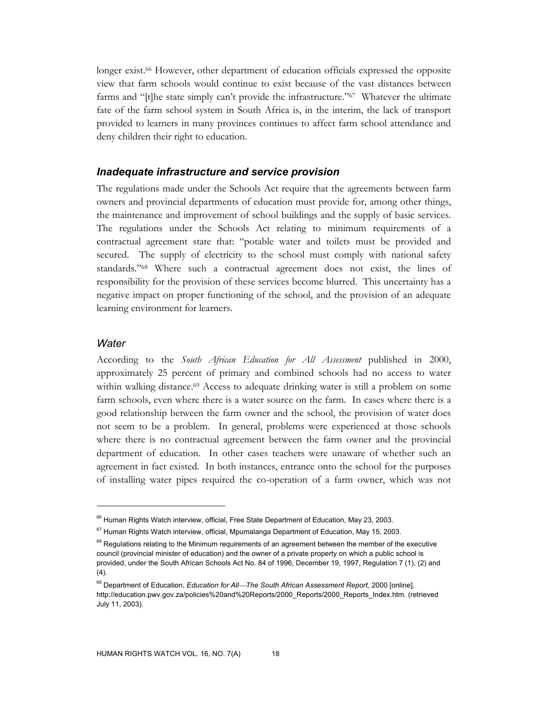longer exist.<sup>66</sup> However, other department of education officials expressed the opposite view that farm schools would continue to exist because of the vast distances between farms and "[t]he state simply can't provide the infrastructure."67 Whatever the ultimate fate of the farm school system in South Africa is, in the interim, the lack of transport provided to learners in many provinces continues to affect farm school attendance and deny children their right to education.

#### *Inadequate infrastructure and service provision*

The regulations made under the Schools Act require that the agreements between farm owners and provincial departments of education must provide for, among other things, the maintenance and improvement of school buildings and the supply of basic services. The regulations under the Schools Act relating to minimum requirements of a contractual agreement state that: "potable water and toilets must be provided and secured. The supply of electricity to the school must comply with national safety standards."68 Where such a contractual agreement does not exist, the lines of responsibility for the provision of these services become blurred. This uncertainty has a negative impact on proper functioning of the school, and the provision of an adequate learning environment for learners.

#### *Water*

-

According to the *South African Education for All Assessment* published in 2000, approximately 25 percent of primary and combined schools had no access to water within walking distance.<sup>69</sup> Access to adequate drinking water is still a problem on some farm schools, even where there is a water source on the farm. In cases where there is a good relationship between the farm owner and the school, the provision of water does not seem to be a problem. In general, problems were experienced at those schools where there is no contractual agreement between the farm owner and the provincial department of education. In other cases teachers were unaware of whether such an agreement in fact existed. In both instances, entrance onto the school for the purposes of installing water pipes required the co-operation of a farm owner, which was not

<sup>&</sup>lt;sup>66</sup> Human Rights Watch interview, official, Free State Department of Education, May 23, 2003.

 $67$  Human Rights Watch interview, official, Mpumalanga Department of Education, May 15, 2003.

<sup>&</sup>lt;sup>68</sup> Regulations relating to the Minimum requirements of an agreement between the member of the executive council (provincial minister of education) and the owner of a private property on which a public school is provided, under the South African Schools Act No. 84 of 1996, December 19, 1997, Regulation 7 (1), (2) and (4).

<sup>69</sup> Department of Education, *Education for AllThe South African Assessment Report,* 2000 [online], http://education.pwv.gov.za/policies%20and%20Reports/2000\_Reports/2000\_Reports\_Index.htm. (retrieved July 11, 2003).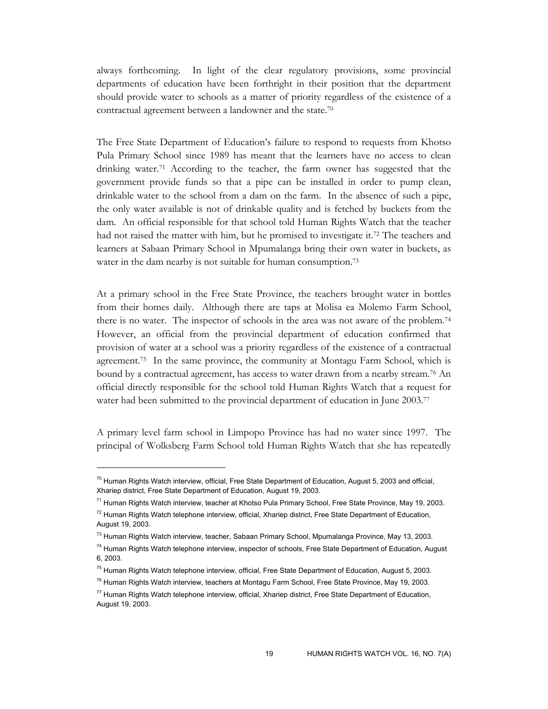always forthcoming. In light of the clear regulatory provisions, some provincial departments of education have been forthright in their position that the department should provide water to schools as a matter of priority regardless of the existence of a contractual agreement between a landowner and the state.70

The Free State Department of Education's failure to respond to requests from Khotso Pula Primary School since 1989 has meant that the learners have no access to clean drinking water.71 According to the teacher, the farm owner has suggested that the government provide funds so that a pipe can be installed in order to pump clean, drinkable water to the school from a dam on the farm. In the absence of such a pipe, the only water available is not of drinkable quality and is fetched by buckets from the dam. An official responsible for that school told Human Rights Watch that the teacher had not raised the matter with him, but he promised to investigate it.72 The teachers and learners at Sabaan Primary School in Mpumalanga bring their own water in buckets, as water in the dam nearby is not suitable for human consumption.<sup>73</sup>

At a primary school in the Free State Province, the teachers brought water in bottles from their homes daily. Although there are taps at Molisa ea Molemo Farm School, there is no water. The inspector of schools in the area was not aware of the problem.74 However, an official from the provincial department of education confirmed that provision of water at a school was a priority regardless of the existence of a contractual agreement.75 In the same province, the community at Montagu Farm School, which is bound by a contractual agreement, has access to water drawn from a nearby stream.<sup>76</sup> An official directly responsible for the school told Human Rights Watch that a request for water had been submitted to the provincial department of education in June 2003.<sup>77</sup>

A primary level farm school in Limpopo Province has had no water since 1997. The principal of Wolksberg Farm School told Human Rights Watch that she has repeatedly

 $70$  Human Rights Watch interview, official, Free State Department of Education, August 5, 2003 and official, Xhariep district, Free State Department of Education, August 19, 2003.

<sup>&</sup>lt;sup>71</sup> Human Rights Watch interview, teacher at Khotso Pula Primary School, Free State Province, May 19, 2003.

 $72$  Human Rights Watch telephone interview, official, Xhariep district, Free State Department of Education, August 19, 2003.

<sup>&</sup>lt;sup>73</sup> Human Rights Watch interview, teacher, Sabaan Primary School, Mpumalanga Province, May 13, 2003.

<sup>&</sup>lt;sup>74</sup> Human Rights Watch telephone interview, inspector of schools, Free State Department of Education, August 6, 2003.

 $75$  Human Rights Watch telephone interview, official, Free State Department of Education, August 5, 2003.

<sup>&</sup>lt;sup>76</sup> Human Rights Watch interview, teachers at Montagu Farm School, Free State Province, May 19, 2003.

<sup>&</sup>lt;sup>77</sup> Human Rights Watch telephone interview, official, Xhariep district, Free State Department of Education, August 19, 2003.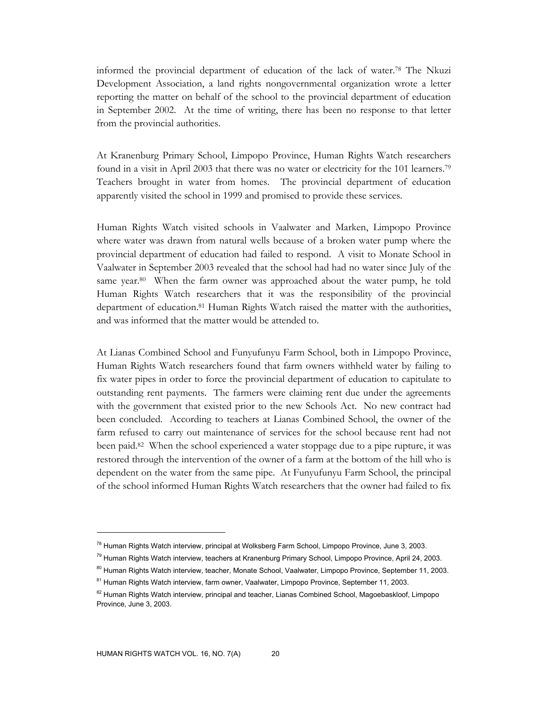informed the provincial department of education of the lack of water.78 The Nkuzi Development Association, a land rights nongovernmental organization wrote a letter reporting the matter on behalf of the school to the provincial department of education in September 2002. At the time of writing, there has been no response to that letter from the provincial authorities.

At Kranenburg Primary School, Limpopo Province, Human Rights Watch researchers found in a visit in April 2003 that there was no water or electricity for the 101 learners.79 Teachers brought in water from homes. The provincial department of education apparently visited the school in 1999 and promised to provide these services.

Human Rights Watch visited schools in Vaalwater and Marken, Limpopo Province where water was drawn from natural wells because of a broken water pump where the provincial department of education had failed to respond. A visit to Monate School in Vaalwater in September 2003 revealed that the school had had no water since July of the same year.<sup>80</sup> When the farm owner was approached about the water pump, he told Human Rights Watch researchers that it was the responsibility of the provincial department of education.81 Human Rights Watch raised the matter with the authorities, and was informed that the matter would be attended to.

At Lianas Combined School and Funyufunyu Farm School, both in Limpopo Province, Human Rights Watch researchers found that farm owners withheld water by failing to fix water pipes in order to force the provincial department of education to capitulate to outstanding rent payments. The farmers were claiming rent due under the agreements with the government that existed prior to the new Schools Act. No new contract had been concluded. According to teachers at Lianas Combined School, the owner of the farm refused to carry out maintenance of services for the school because rent had not been paid.82 When the school experienced a water stoppage due to a pipe rupture, it was restored through the intervention of the owner of a farm at the bottom of the hill who is dependent on the water from the same pipe. At Funyufunyu Farm School, the principal of the school informed Human Rights Watch researchers that the owner had failed to fix

<sup>&</sup>lt;sup>78</sup> Human Rights Watch interview, principal at Wolksberg Farm School, Limpopo Province, June 3, 2003.

<sup>&</sup>lt;sup>79</sup> Human Rights Watch interview, teachers at Kranenburg Primary School, Limpopo Province, April 24, 2003.

<sup>&</sup>lt;sup>80</sup> Human Rights Watch interview, teacher, Monate School, Vaalwater, Limpopo Province, September 11, 2003.

<sup>&</sup>lt;sup>81</sup> Human Rights Watch interview, farm owner, Vaalwater, Limpopo Province, September 11, 2003.

<sup>&</sup>lt;sup>82</sup> Human Rights Watch interview, principal and teacher, Lianas Combined School, Magoebaskloof, Limpopo Province, June 3, 2003.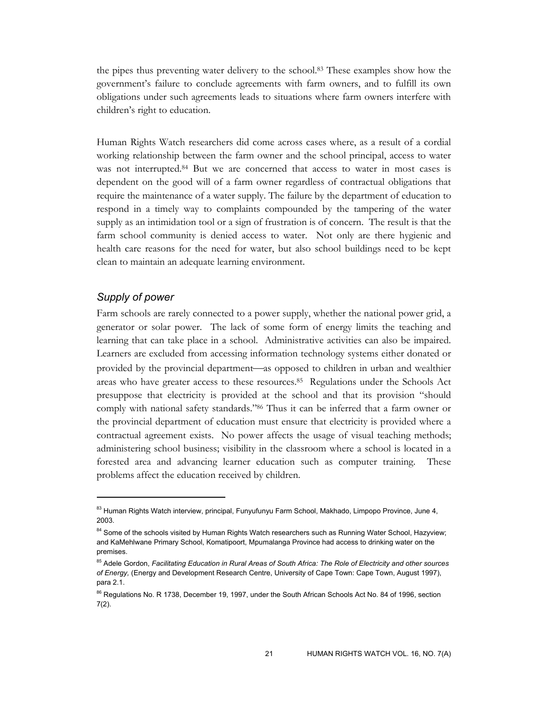the pipes thus preventing water delivery to the school.83 These examples show how the government's failure to conclude agreements with farm owners, and to fulfill its own obligations under such agreements leads to situations where farm owners interfere with children's right to education.

Human Rights Watch researchers did come across cases where, as a result of a cordial working relationship between the farm owner and the school principal, access to water was not interrupted.<sup>84</sup> But we are concerned that access to water in most cases is dependent on the good will of a farm owner regardless of contractual obligations that require the maintenance of a water supply. The failure by the department of education to respond in a timely way to complaints compounded by the tampering of the water supply as an intimidation tool or a sign of frustration is of concern. The result is that the farm school community is denied access to water. Not only are there hygienic and health care reasons for the need for water, but also school buildings need to be kept clean to maintain an adequate learning environment.

## *Supply of power*

-

Farm schools are rarely connected to a power supply, whether the national power grid, a generator or solar power. The lack of some form of energy limits the teaching and learning that can take place in a school. Administrative activities can also be impaired. Learners are excluded from accessing information technology systems either donated or provided by the provincial department—as opposed to children in urban and wealthier areas who have greater access to these resources.85 Regulations under the Schools Act presuppose that electricity is provided at the school and that its provision "should comply with national safety standards."86 Thus it can be inferred that a farm owner or the provincial department of education must ensure that electricity is provided where a contractual agreement exists. No power affects the usage of visual teaching methods; administering school business; visibility in the classroom where a school is located in a forested area and advancing learner education such as computer training. These problems affect the education received by children.

<sup>83</sup> Human Rights Watch interview, principal, Funyufunyu Farm School, Makhado, Limpopo Province, June 4, 2003.

<sup>&</sup>lt;sup>84</sup> Some of the schools visited by Human Rights Watch researchers such as Running Water School, Hazyview; and KaMehlwane Primary School, Komatipoort, Mpumalanga Province had access to drinking water on the premises.

<sup>85</sup> Adele Gordon, *Facilitating Education in Rural Areas of South Africa: The Role of Electricity and other sources of Energy,* (Energy and Development Research Centre, University of Cape Town: Cape Town, August 1997), para 2.1.

<sup>&</sup>lt;sup>86</sup> Regulations No. R 1738, December 19, 1997, under the South African Schools Act No. 84 of 1996, section 7(2).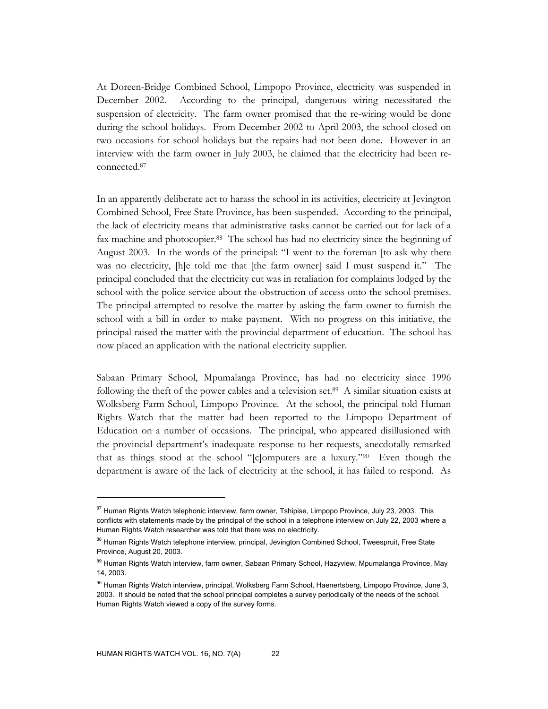At Doreen-Bridge Combined School, Limpopo Province, electricity was suspended in December 2002. According to the principal, dangerous wiring necessitated the suspension of electricity. The farm owner promised that the re-wiring would be done during the school holidays. From December 2002 to April 2003, the school closed on two occasions for school holidays but the repairs had not been done. However in an interview with the farm owner in July 2003, he claimed that the electricity had been reconnected.87

In an apparently deliberate act to harass the school in its activities, electricity at Jevington Combined School, Free State Province, has been suspended. According to the principal, the lack of electricity means that administrative tasks cannot be carried out for lack of a fax machine and photocopier.<sup>88</sup> The school has had no electricity since the beginning of August 2003. In the words of the principal: "I went to the foreman [to ask why there was no electricity, [h]e told me that [the farm owner] said I must suspend it." The principal concluded that the electricity cut was in retaliation for complaints lodged by the school with the police service about the obstruction of access onto the school premises. The principal attempted to resolve the matter by asking the farm owner to furnish the school with a bill in order to make payment. With no progress on this initiative, the principal raised the matter with the provincial department of education. The school has now placed an application with the national electricity supplier.

Sabaan Primary School, Mpumalanga Province, has had no electricity since 1996 following the theft of the power cables and a television set.89 A similar situation exists at Wolksberg Farm School, Limpopo Province. At the school, the principal told Human Rights Watch that the matter had been reported to the Limpopo Department of Education on a number of occasions. The principal, who appeared disillusioned with the provincial department's inadequate response to her requests, anecdotally remarked that as things stood at the school "[c]omputers are a luxury."90 Even though the department is aware of the lack of electricity at the school, it has failed to respond. As

<sup>&</sup>lt;sup>87</sup> Human Rights Watch telephonic interview, farm owner, Tshipise, Limpopo Province, July 23, 2003. This conflicts with statements made by the principal of the school in a telephone interview on July 22, 2003 where a Human Rights Watch researcher was told that there was no electricity.

<sup>88</sup> Human Rights Watch telephone interview, principal, Jevington Combined School, Tweespruit, Free State Province, August 20, 2003.

<sup>&</sup>lt;sup>89</sup> Human Rights Watch interview, farm owner, Sabaan Primary School, Hazyview, Mpumalanga Province, May 14, 2003.

<sup>&</sup>lt;sup>90</sup> Human Rights Watch interview, principal, Wolksberg Farm School, Haenertsberg, Limpopo Province, June 3, 2003. It should be noted that the school principal completes a survey periodically of the needs of the school. Human Rights Watch viewed a copy of the survey forms.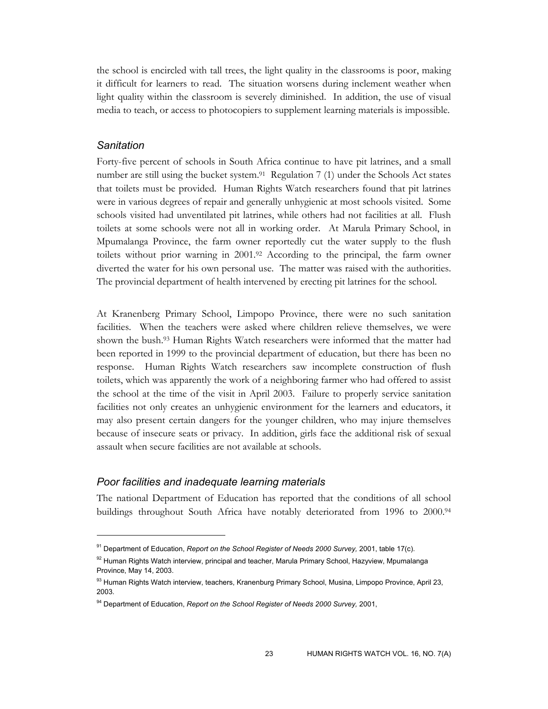the school is encircled with tall trees, the light quality in the classrooms is poor, making it difficult for learners to read. The situation worsens during inclement weather when light quality within the classroom is severely diminished. In addition, the use of visual media to teach, or access to photocopiers to supplement learning materials is impossible.

## *Sanitation*

-

Forty-five percent of schools in South Africa continue to have pit latrines, and a small number are still using the bucket system.<sup>91</sup> Regulation 7 (1) under the Schools Act states that toilets must be provided. Human Rights Watch researchers found that pit latrines were in various degrees of repair and generally unhygienic at most schools visited. Some schools visited had unventilated pit latrines, while others had not facilities at all. Flush toilets at some schools were not all in working order. At Marula Primary School, in Mpumalanga Province, the farm owner reportedly cut the water supply to the flush toilets without prior warning in 2001.92 According to the principal, the farm owner diverted the water for his own personal use. The matter was raised with the authorities. The provincial department of health intervened by erecting pit latrines for the school.

At Kranenberg Primary School, Limpopo Province, there were no such sanitation facilities. When the teachers were asked where children relieve themselves, we were shown the bush.93 Human Rights Watch researchers were informed that the matter had been reported in 1999 to the provincial department of education, but there has been no response. Human Rights Watch researchers saw incomplete construction of flush toilets, which was apparently the work of a neighboring farmer who had offered to assist the school at the time of the visit in April 2003. Failure to properly service sanitation facilities not only creates an unhygienic environment for the learners and educators, it may also present certain dangers for the younger children, who may injure themselves because of insecure seats or privacy. In addition, girls face the additional risk of sexual assault when secure facilities are not available at schools.

## *Poor facilities and inadequate learning materials*

The national Department of Education has reported that the conditions of all school buildings throughout South Africa have notably deteriorated from 1996 to 2000.94

<sup>91</sup> Department of Education, *Report on the School Register of Needs 2000 Survey,* 2001, table 17(c).

<sup>92</sup> Human Rights Watch interview, principal and teacher, Marula Primary School, Hazyview, Mpumalanga Province, May 14, 2003.

<sup>93</sup> Human Rights Watch interview, teachers, Kranenburg Primary School, Musina, Limpopo Province, April 23, 2003.

<sup>94</sup> Department of Education, *Report on the School Register of Needs 2000 Survey,* 2001,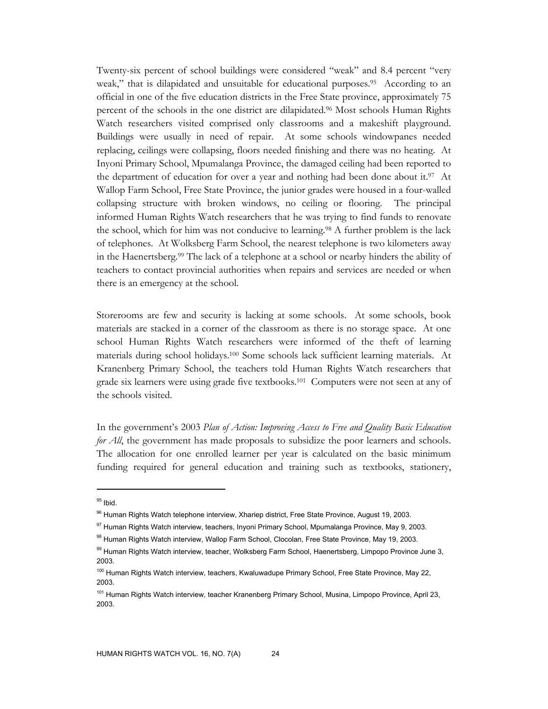Twenty-six percent of school buildings were considered "weak" and 8.4 percent "very weak," that is dilapidated and unsuitable for educational purposes.<sup>95</sup> According to an official in one of the five education districts in the Free State province, approximately 75 percent of the schools in the one district are dilapidated.96 Most schools Human Rights Watch researchers visited comprised only classrooms and a makeshift playground. Buildings were usually in need of repair. At some schools windowpanes needed replacing, ceilings were collapsing, floors needed finishing and there was no heating. At Inyoni Primary School, Mpumalanga Province, the damaged ceiling had been reported to the department of education for over a year and nothing had been done about it.<sup>97</sup> At Wallop Farm School, Free State Province, the junior grades were housed in a four-walled collapsing structure with broken windows, no ceiling or flooring. The principal informed Human Rights Watch researchers that he was trying to find funds to renovate the school, which for him was not conducive to learning.98 A further problem is the lack of telephones. At Wolksberg Farm School, the nearest telephone is two kilometers away in the Haenertsberg.99 The lack of a telephone at a school or nearby hinders the ability of teachers to contact provincial authorities when repairs and services are needed or when there is an emergency at the school.

Storerooms are few and security is lacking at some schools. At some schools, book materials are stacked in a corner of the classroom as there is no storage space. At one school Human Rights Watch researchers were informed of the theft of learning materials during school holidays.100 Some schools lack sufficient learning materials. At Kranenberg Primary School, the teachers told Human Rights Watch researchers that grade six learners were using grade five textbooks.101 Computers were not seen at any of the schools visited.

In the government's 2003 *Plan of Action: Improving Access to Free and Quality Basic Education for All*, the government has made proposals to subsidize the poor learners and schools. The allocation for one enrolled learner per year is calculated on the basic minimum funding required for general education and training such as textbooks, stationery,

 $95$  Ibid.

<sup>&</sup>lt;sup>96</sup> Human Rights Watch telephone interview, Xhariep district, Free State Province, August 19, 2003.

<sup>97</sup> Human Rights Watch interview, teachers, Inyoni Primary School, Mpumalanga Province, May 9, 2003.

<sup>98</sup> Human Rights Watch interview, Wallop Farm School, Clocolan, Free State Province, May 19, 2003.

<sup>99</sup> Human Rights Watch interview, teacher, Wolksberg Farm School, Haenertsberg, Limpopo Province June 3, 2003.

<sup>&</sup>lt;sup>100</sup> Human Rights Watch interview, teachers, Kwaluwadupe Primary School, Free State Province, May 22, 2003.

<sup>&</sup>lt;sup>101</sup> Human Rights Watch interview, teacher Kranenberg Primary School, Musina, Limpopo Province, April 23, 2003.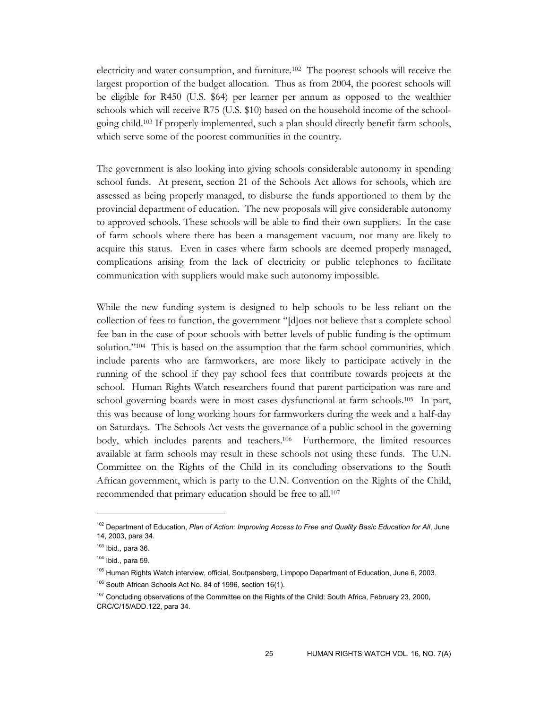electricity and water consumption, and furniture.102 The poorest schools will receive the largest proportion of the budget allocation. Thus as from 2004, the poorest schools will be eligible for R450 (U.S. \$64) per learner per annum as opposed to the wealthier schools which will receive R75 (U.S. \$10) based on the household income of the schoolgoing child.103 If properly implemented, such a plan should directly benefit farm schools, which serve some of the poorest communities in the country.

The government is also looking into giving schools considerable autonomy in spending school funds. At present, section 21 of the Schools Act allows for schools, which are assessed as being properly managed, to disburse the funds apportioned to them by the provincial department of education. The new proposals will give considerable autonomy to approved schools. These schools will be able to find their own suppliers. In the case of farm schools where there has been a management vacuum, not many are likely to acquire this status. Even in cases where farm schools are deemed properly managed, complications arising from the lack of electricity or public telephones to facilitate communication with suppliers would make such autonomy impossible.

While the new funding system is designed to help schools to be less reliant on the collection of fees to function, the government "[d]oes not believe that a complete school fee ban in the case of poor schools with better levels of public funding is the optimum solution."104 This is based on the assumption that the farm school communities, which include parents who are farmworkers, are more likely to participate actively in the running of the school if they pay school fees that contribute towards projects at the school. Human Rights Watch researchers found that parent participation was rare and school governing boards were in most cases dysfunctional at farm schools.105 In part, this was because of long working hours for farmworkers during the week and a half-day on Saturdays. The Schools Act vests the governance of a public school in the governing body, which includes parents and teachers.106 Furthermore, the limited resources available at farm schools may result in these schools not using these funds. The U.N. Committee on the Rights of the Child in its concluding observations to the South African government, which is party to the U.N. Convention on the Rights of the Child, recommended that primary education should be free to all.107

<sup>&</sup>lt;sup>102</sup> Department of Education, *Plan of Action: Improving Access to Free and Quality Basic Education for All*, June 14, 2003, para 34.

 $103$  Ibid., para 36.

 $104$  Ibid., para 59.

<sup>&</sup>lt;sup>105</sup> Human Rights Watch interview, official, Soutpansberg, Limpopo Department of Education, June 6, 2003.

<sup>&</sup>lt;sup>106</sup> South African Schools Act No. 84 of 1996, section 16(1).

<sup>&</sup>lt;sup>107</sup> Concluding observations of the Committee on the Rights of the Child: South Africa, February 23, 2000, CRC/C/15/ADD.122, para 34.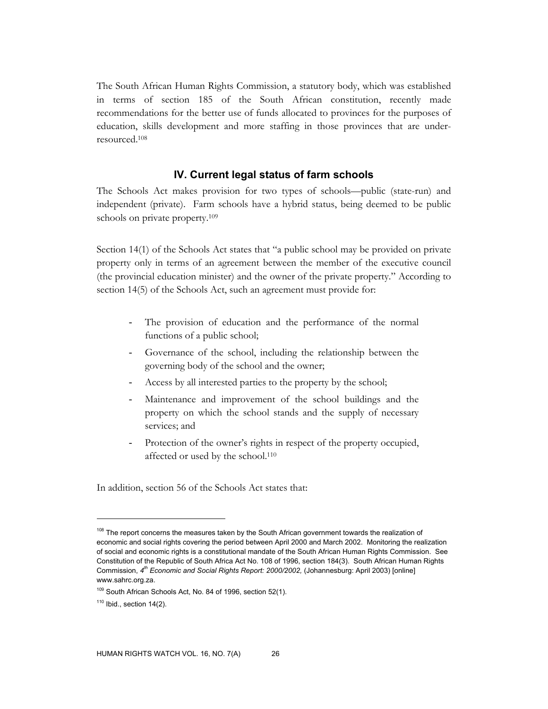The South African Human Rights Commission, a statutory body, which was established in terms of section 185 of the South African constitution, recently made recommendations for the better use of funds allocated to provinces for the purposes of education, skills development and more staffing in those provinces that are underresourced.108

#### **IV. Current legal status of farm schools**

The Schools Act makes provision for two types of schools—public (state-run) and independent (private). Farm schools have a hybrid status, being deemed to be public schools on private property.109

Section 14(1) of the Schools Act states that "a public school may be provided on private property only in terms of an agreement between the member of the executive council (the provincial education minister) and the owner of the private property." According to section 14(5) of the Schools Act, such an agreement must provide for:

- The provision of education and the performance of the normal functions of a public school;
- Governance of the school, including the relationship between the governing body of the school and the owner;
- Access by all interested parties to the property by the school;
- Maintenance and improvement of the school buildings and the property on which the school stands and the supply of necessary services; and
- Protection of the owner's rights in respect of the property occupied, affected or used by the school.110

In addition, section 56 of the Schools Act states that:

<sup>&</sup>lt;sup>108</sup> The report concerns the measures taken by the South African government towards the realization of economic and social rights covering the period between April 2000 and March 2002. Monitoring the realization of social and economic rights is a constitutional mandate of the South African Human Rights Commission. See Constitution of the Republic of South Africa Act No. 108 of 1996, section 184(3). South African Human Rights Commission, *4th Economic and Social Rights Report: 2000/2002,* (Johannesburg: April 2003) [online] www.sahrc.org.za.

<sup>109</sup> South African Schools Act, No. 84 of 1996, section 52(1).

 $110$  Ibid., section 14(2).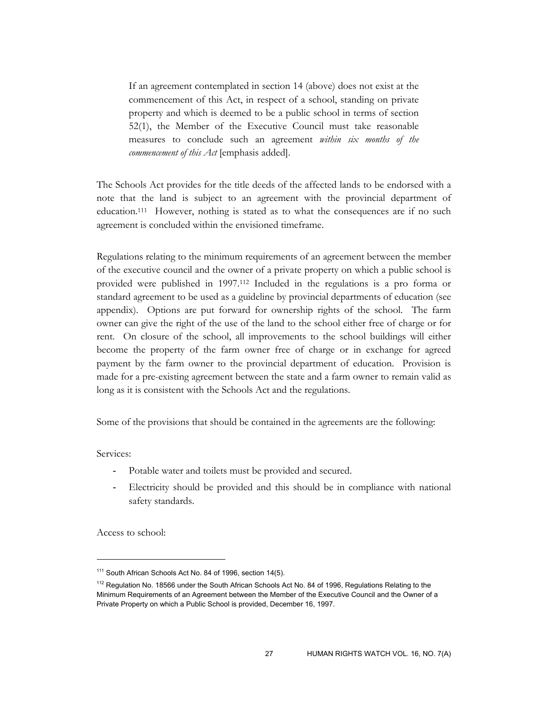If an agreement contemplated in section 14 (above) does not exist at the commencement of this Act, in respect of a school, standing on private property and which is deemed to be a public school in terms of section 52(1), the Member of the Executive Council must take reasonable measures to conclude such an agreement *within six months of the commencement of this Act* [emphasis added].

The Schools Act provides for the title deeds of the affected lands to be endorsed with a note that the land is subject to an agreement with the provincial department of education.111 However, nothing is stated as to what the consequences are if no such agreement is concluded within the envisioned timeframe.

Regulations relating to the minimum requirements of an agreement between the member of the executive council and the owner of a private property on which a public school is provided were published in 1997.112 Included in the regulations is a pro forma or standard agreement to be used as a guideline by provincial departments of education (see appendix). Options are put forward for ownership rights of the school. The farm owner can give the right of the use of the land to the school either free of charge or for rent. On closure of the school, all improvements to the school buildings will either become the property of the farm owner free of charge or in exchange for agreed payment by the farm owner to the provincial department of education. Provision is made for a pre-existing agreement between the state and a farm owner to remain valid as long as it is consistent with the Schools Act and the regulations.

Some of the provisions that should be contained in the agreements are the following:

Services:

-

- Potable water and toilets must be provided and secured.
- Electricity should be provided and this should be in compliance with national safety standards.

Access to school:

<sup>111</sup> South African Schools Act No. 84 of 1996, section 14(5).

<sup>&</sup>lt;sup>112</sup> Regulation No. 18566 under the South African Schools Act No. 84 of 1996, Regulations Relating to the Minimum Requirements of an Agreement between the Member of the Executive Council and the Owner of a Private Property on which a Public School is provided, December 16, 1997.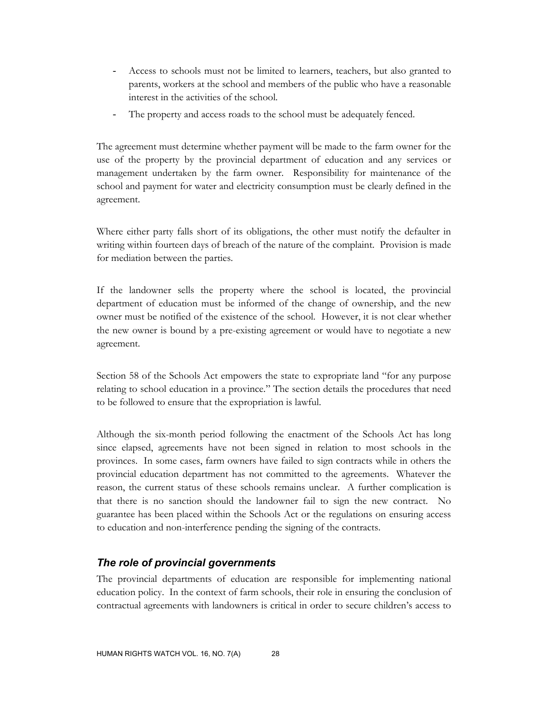- Access to schools must not be limited to learners, teachers, but also granted to parents, workers at the school and members of the public who have a reasonable interest in the activities of the school.
- The property and access roads to the school must be adequately fenced.

The agreement must determine whether payment will be made to the farm owner for the use of the property by the provincial department of education and any services or management undertaken by the farm owner. Responsibility for maintenance of the school and payment for water and electricity consumption must be clearly defined in the agreement.

Where either party falls short of its obligations, the other must notify the defaulter in writing within fourteen days of breach of the nature of the complaint. Provision is made for mediation between the parties.

If the landowner sells the property where the school is located, the provincial department of education must be informed of the change of ownership, and the new owner must be notified of the existence of the school. However, it is not clear whether the new owner is bound by a pre-existing agreement or would have to negotiate a new agreement.

Section 58 of the Schools Act empowers the state to expropriate land "for any purpose relating to school education in a province." The section details the procedures that need to be followed to ensure that the expropriation is lawful.

Although the six-month period following the enactment of the Schools Act has long since elapsed, agreements have not been signed in relation to most schools in the provinces. In some cases, farm owners have failed to sign contracts while in others the provincial education department has not committed to the agreements. Whatever the reason, the current status of these schools remains unclear. A further complication is that there is no sanction should the landowner fail to sign the new contract. No guarantee has been placed within the Schools Act or the regulations on ensuring access to education and non-interference pending the signing of the contracts.

# *The role of provincial governments*

The provincial departments of education are responsible for implementing national education policy. In the context of farm schools, their role in ensuring the conclusion of contractual agreements with landowners is critical in order to secure children's access to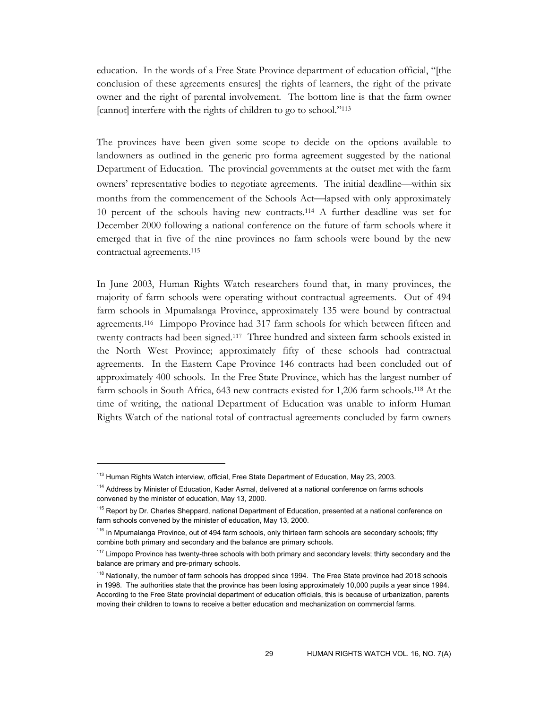education. In the words of a Free State Province department of education official, "[the conclusion of these agreements ensures] the rights of learners, the right of the private owner and the right of parental involvement. The bottom line is that the farm owner [cannot] interfere with the rights of children to go to school."113

The provinces have been given some scope to decide on the options available to landowners as outlined in the generic pro forma agreement suggested by the national Department of Education. The provincial governments at the outset met with the farm owners' representative bodies to negotiate agreements. The initial deadline—within six months from the commencement of the Schools Act—lapsed with only approximately 10 percent of the schools having new contracts.114 A further deadline was set for December 2000 following a national conference on the future of farm schools where it emerged that in five of the nine provinces no farm schools were bound by the new contractual agreements.115

In June 2003, Human Rights Watch researchers found that, in many provinces, the majority of farm schools were operating without contractual agreements. Out of 494 farm schools in Mpumalanga Province, approximately 135 were bound by contractual agreements.116 Limpopo Province had 317 farm schools for which between fifteen and twenty contracts had been signed.117 Three hundred and sixteen farm schools existed in the North West Province; approximately fifty of these schools had contractual agreements. In the Eastern Cape Province 146 contracts had been concluded out of approximately 400 schools. In the Free State Province, which has the largest number of farm schools in South Africa, 643 new contracts existed for 1,206 farm schools.118 At the time of writing, the national Department of Education was unable to inform Human Rights Watch of the national total of contractual agreements concluded by farm owners

<sup>&</sup>lt;sup>113</sup> Human Rights Watch interview, official, Free State Department of Education, May 23, 2003.

<sup>&</sup>lt;sup>114</sup> Address by Minister of Education, Kader Asmal, delivered at a national conference on farms schools convened by the minister of education, May 13, 2000.

<sup>&</sup>lt;sup>115</sup> Report by Dr. Charles Sheppard, national Department of Education, presented at a national conference on farm schools convened by the minister of education, May 13, 2000.

<sup>&</sup>lt;sup>116</sup> In Mpumalanga Province, out of 494 farm schools, only thirteen farm schools are secondary schools; fifty combine both primary and secondary and the balance are primary schools.

<sup>&</sup>lt;sup>117</sup> Limpopo Province has twenty-three schools with both primary and secondary levels; thirty secondary and the balance are primary and pre-primary schools.

<sup>&</sup>lt;sup>118</sup> Nationally, the number of farm schools has dropped since 1994. The Free State province had 2018 schools in 1998. The authorities state that the province has been losing approximately 10,000 pupils a year since 1994. According to the Free State provincial department of education officials, this is because of urbanization, parents moving their children to towns to receive a better education and mechanization on commercial farms.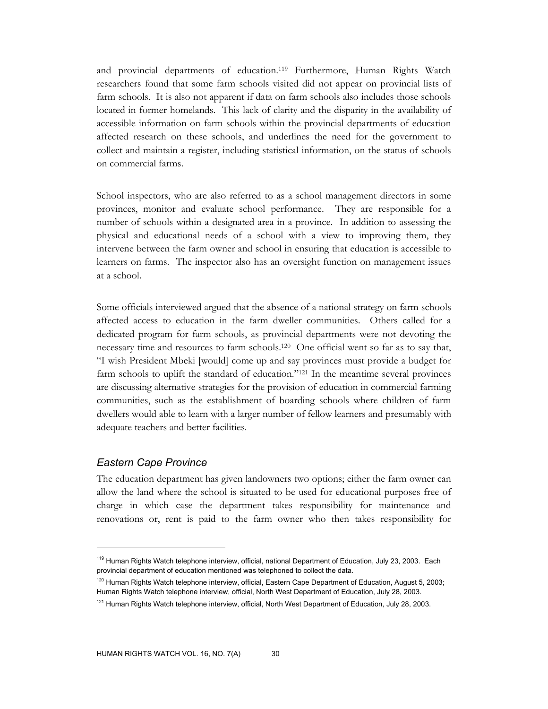and provincial departments of education.119 Furthermore, Human Rights Watch researchers found that some farm schools visited did not appear on provincial lists of farm schools. It is also not apparent if data on farm schools also includes those schools located in former homelands. This lack of clarity and the disparity in the availability of accessible information on farm schools within the provincial departments of education affected research on these schools, and underlines the need for the government to collect and maintain a register, including statistical information, on the status of schools on commercial farms.

School inspectors, who are also referred to as a school management directors in some provinces, monitor and evaluate school performance. They are responsible for a number of schools within a designated area in a province. In addition to assessing the physical and educational needs of a school with a view to improving them, they intervene between the farm owner and school in ensuring that education is accessible to learners on farms. The inspector also has an oversight function on management issues at a school.

Some officials interviewed argued that the absence of a national strategy on farm schools affected access to education in the farm dweller communities. Others called for a dedicated program for farm schools, as provincial departments were not devoting the necessary time and resources to farm schools.120 One official went so far as to say that, "I wish President Mbeki [would] come up and say provinces must provide a budget for farm schools to uplift the standard of education."121 In the meantime several provinces are discussing alternative strategies for the provision of education in commercial farming communities, such as the establishment of boarding schools where children of farm dwellers would able to learn with a larger number of fellow learners and presumably with adequate teachers and better facilities.

### *Eastern Cape Province*

 $\overline{a}$ 

The education department has given landowners two options; either the farm owner can allow the land where the school is situated to be used for educational purposes free of charge in which case the department takes responsibility for maintenance and renovations or, rent is paid to the farm owner who then takes responsibility for

<sup>&</sup>lt;sup>119</sup> Human Rights Watch telephone interview, official, national Department of Education, July 23, 2003. Each provincial department of education mentioned was telephoned to collect the data.

<sup>&</sup>lt;sup>120</sup> Human Rights Watch telephone interview, official, Eastern Cape Department of Education, August 5, 2003; Human Rights Watch telephone interview, official, North West Department of Education, July 28, 2003.

<sup>&</sup>lt;sup>121</sup> Human Rights Watch telephone interview, official, North West Department of Education, July 28, 2003.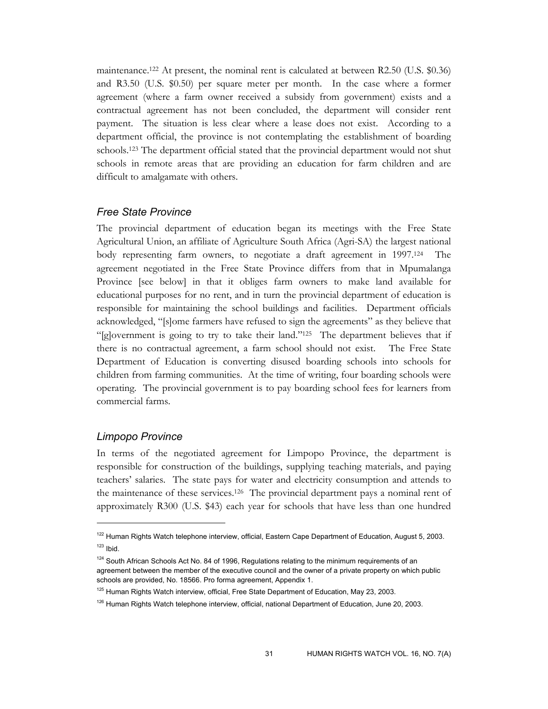maintenance.122 At present, the nominal rent is calculated at between R2.50 (U.S. \$0.36) and R3.50 (U.S. \$0.50) per square meter per month. In the case where a former agreement (where a farm owner received a subsidy from government) exists and a contractual agreement has not been concluded, the department will consider rent payment. The situation is less clear where a lease does not exist. According to a department official, the province is not contemplating the establishment of boarding schools.123 The department official stated that the provincial department would not shut schools in remote areas that are providing an education for farm children and are difficult to amalgamate with others.

#### *Free State Province*

The provincial department of education began its meetings with the Free State Agricultural Union, an affiliate of Agriculture South Africa (Agri-SA) the largest national body representing farm owners, to negotiate a draft agreement in 1997.124 The agreement negotiated in the Free State Province differs from that in Mpumalanga Province [see below] in that it obliges farm owners to make land available for educational purposes for no rent, and in turn the provincial department of education is responsible for maintaining the school buildings and facilities. Department officials acknowledged, "[s]ome farmers have refused to sign the agreements" as they believe that "[g]overnment is going to try to take their land."125 The department believes that if there is no contractual agreement, a farm school should not exist. The Free State Department of Education is converting disused boarding schools into schools for children from farming communities. At the time of writing, four boarding schools were operating. The provincial government is to pay boarding school fees for learners from commercial farms.

#### *Limpopo Province*

 $\overline{a}$ 

In terms of the negotiated agreement for Limpopo Province, the department is responsible for construction of the buildings, supplying teaching materials, and paying teachers' salaries. The state pays for water and electricity consumption and attends to the maintenance of these services.126 The provincial department pays a nominal rent of approximately R300 (U.S. \$43) each year for schools that have less than one hundred

<sup>&</sup>lt;sup>122</sup> Human Rights Watch telephone interview, official, Eastern Cape Department of Education, August 5, 2003.  $123$  Ibid.

 $124$  South African Schools Act No. 84 of 1996, Regulations relating to the minimum requirements of an agreement between the member of the executive council and the owner of a private property on which public schools are provided, No. 18566. Pro forma agreement, Appendix 1.

<sup>&</sup>lt;sup>125</sup> Human Rights Watch interview, official, Free State Department of Education, May 23, 2003.

<sup>&</sup>lt;sup>126</sup> Human Rights Watch telephone interview, official, national Department of Education, June 20, 2003.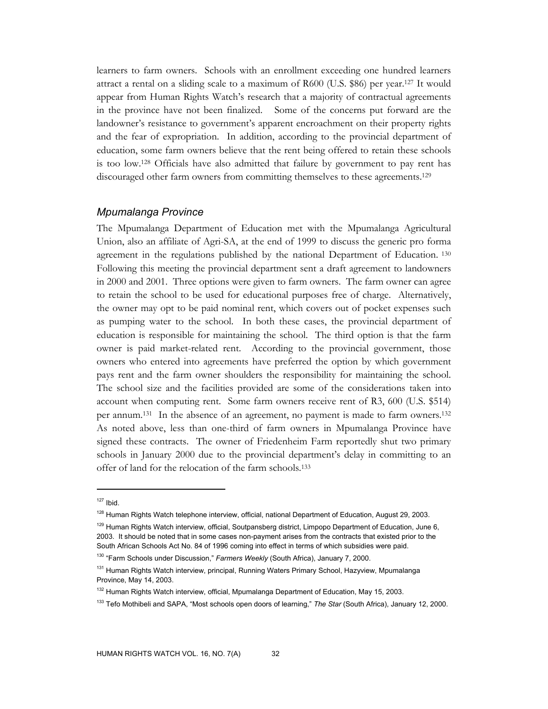learners to farm owners. Schools with an enrollment exceeding one hundred learners attract a rental on a sliding scale to a maximum of R600 (U.S. \$86) per year.127 It would appear from Human Rights Watch's research that a majority of contractual agreements in the province have not been finalized. Some of the concerns put forward are the landowner's resistance to government's apparent encroachment on their property rights and the fear of expropriation. In addition, according to the provincial department of education, some farm owners believe that the rent being offered to retain these schools is too low.128 Officials have also admitted that failure by government to pay rent has discouraged other farm owners from committing themselves to these agreements.<sup>129</sup>

#### *Mpumalanga Province*

The Mpumalanga Department of Education met with the Mpumalanga Agricultural Union, also an affiliate of Agri-SA, at the end of 1999 to discuss the generic pro forma agreement in the regulations published by the national Department of Education. 130 Following this meeting the provincial department sent a draft agreement to landowners in 2000 and 2001. Three options were given to farm owners. The farm owner can agree to retain the school to be used for educational purposes free of charge. Alternatively, the owner may opt to be paid nominal rent, which covers out of pocket expenses such as pumping water to the school. In both these cases, the provincial department of education is responsible for maintaining the school. The third option is that the farm owner is paid market-related rent. According to the provincial government, those owners who entered into agreements have preferred the option by which government pays rent and the farm owner shoulders the responsibility for maintaining the school. The school size and the facilities provided are some of the considerations taken into account when computing rent. Some farm owners receive rent of R3, 600 (U.S. \$514) per annum.131 In the absence of an agreement, no payment is made to farm owners.132 As noted above, less than one-third of farm owners in Mpumalanga Province have signed these contracts. The owner of Friedenheim Farm reportedly shut two primary schools in January 2000 due to the provincial department's delay in committing to an offer of land for the relocation of the farm schools.133

 $127$  Ibid.

<sup>&</sup>lt;sup>128</sup> Human Rights Watch telephone interview, official, national Department of Education, August 29, 2003.

<sup>&</sup>lt;sup>129</sup> Human Rights Watch interview, official, Soutpansberg district, Limpopo Department of Education, June 6, 2003. It should be noted that in some cases non-payment arises from the contracts that existed prior to the South African Schools Act No. 84 of 1996 coming into effect in terms of which subsidies were paid.

<sup>130 &</sup>quot;Farm Schools under Discussion," *Farmers Weekly* (South Africa), January 7, 2000.

<sup>&</sup>lt;sup>131</sup> Human Rights Watch interview, principal, Running Waters Primary School, Hazyview, Mpumalanga Province, May 14, 2003.

<sup>&</sup>lt;sup>132</sup> Human Rights Watch interview, official, Mpumalanga Department of Education, May 15, 2003.

<sup>133</sup> Tefo Mothibeli and SAPA, "Most schools open doors of learning," *The Star* (South Africa), January 12, 2000.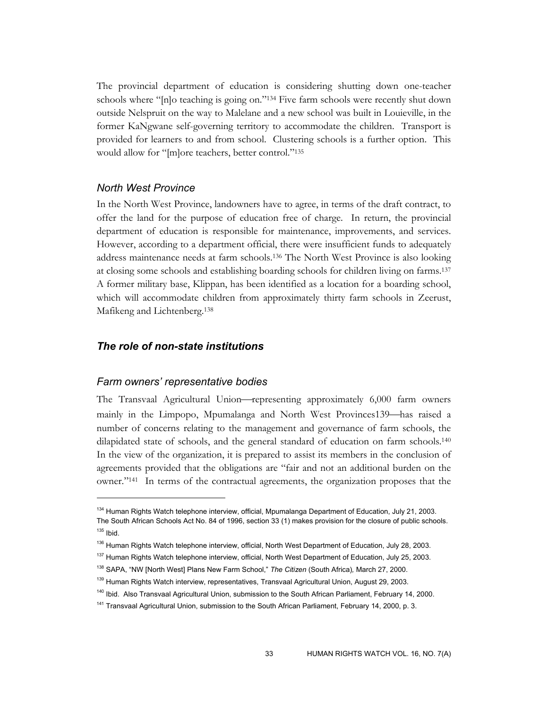The provincial department of education is considering shutting down one-teacher schools where "[n]o teaching is going on."<sup>134</sup> Five farm schools were recently shut down outside Nelspruit on the way to Malelane and a new school was built in Louieville, in the former KaNgwane self-governing territory to accommodate the children. Transport is provided for learners to and from school. Clustering schools is a further option. This would allow for "[m]ore teachers, better control."135

# *North West Province*

In the North West Province, landowners have to agree, in terms of the draft contract, to offer the land for the purpose of education free of charge. In return, the provincial department of education is responsible for maintenance, improvements, and services. However, according to a department official, there were insufficient funds to adequately address maintenance needs at farm schools.136 The North West Province is also looking at closing some schools and establishing boarding schools for children living on farms.137 A former military base, Klippan, has been identified as a location for a boarding school, which will accommodate children from approximately thirty farm schools in Zeerust, Mafikeng and Lichtenberg.138

# *The role of non-state institutions*

### *Farm owners' representative bodies*

 $\overline{a}$ 

The Transvaal Agricultural Union—representing approximately 6,000 farm owners mainly in the Limpopo, Mpumalanga and North West Provinces139—has raised a number of concerns relating to the management and governance of farm schools, the dilapidated state of schools, and the general standard of education on farm schools.140 In the view of the organization, it is prepared to assist its members in the conclusion of agreements provided that the obligations are "fair and not an additional burden on the owner."141 In terms of the contractual agreements, the organization proposes that the

<sup>&</sup>lt;sup>134</sup> Human Rights Watch telephone interview, official, Mpumalanga Department of Education, July 21, 2003. The South African Schools Act No. 84 of 1996, section 33 (1) makes provision for the closure of public schools.  $135$  Ibid.

<sup>&</sup>lt;sup>136</sup> Human Rights Watch telephone interview, official, North West Department of Education, July 28, 2003.

<sup>137</sup> Human Rights Watch telephone interview, official, North West Department of Education, July 25, 2003.

<sup>138</sup> SAPA, "NW [North West] Plans New Farm School," *The Citizen* (South Africa)*,* March 27, 2000.

<sup>&</sup>lt;sup>139</sup> Human Rights Watch interview, representatives, Transvaal Agricultural Union, August 29, 2003.

<sup>&</sup>lt;sup>140</sup> Ibid. Also Transvaal Agricultural Union, submission to the South African Parliament, February 14, 2000.

<sup>&</sup>lt;sup>141</sup> Transvaal Agricultural Union, submission to the South African Parliament, February 14, 2000, p. 3.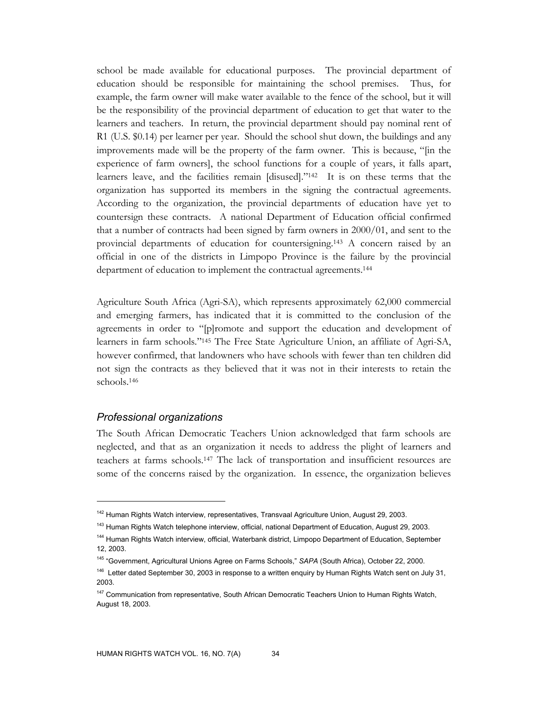school be made available for educational purposes. The provincial department of education should be responsible for maintaining the school premises. Thus, for example, the farm owner will make water available to the fence of the school, but it will be the responsibility of the provincial department of education to get that water to the learners and teachers. In return, the provincial department should pay nominal rent of R1 (U.S. \$0.14) per learner per year. Should the school shut down, the buildings and any improvements made will be the property of the farm owner. This is because, "[in the experience of farm owners], the school functions for a couple of years, it falls apart, learners leave, and the facilities remain [disused]."142 It is on these terms that the organization has supported its members in the signing the contractual agreements. According to the organization, the provincial departments of education have yet to countersign these contracts. A national Department of Education official confirmed that a number of contracts had been signed by farm owners in 2000/01, and sent to the provincial departments of education for countersigning.143 A concern raised by an official in one of the districts in Limpopo Province is the failure by the provincial department of education to implement the contractual agreements.144

Agriculture South Africa (Agri-SA), which represents approximately 62,000 commercial and emerging farmers, has indicated that it is committed to the conclusion of the agreements in order to "[p]romote and support the education and development of learners in farm schools."145 The Free State Agriculture Union, an affiliate of Agri-SA, however confirmed, that landowners who have schools with fewer than ten children did not sign the contracts as they believed that it was not in their interests to retain the schools.146

#### *Professional organizations*

-

The South African Democratic Teachers Union acknowledged that farm schools are neglected, and that as an organization it needs to address the plight of learners and teachers at farms schools.147 The lack of transportation and insufficient resources are some of the concerns raised by the organization. In essence, the organization believes

<sup>&</sup>lt;sup>142</sup> Human Rights Watch interview, representatives, Transvaal Agriculture Union, August 29, 2003.

<sup>&</sup>lt;sup>143</sup> Human Rights Watch telephone interview, official, national Department of Education, August 29, 2003.

<sup>144</sup> Human Rights Watch interview, official, Waterbank district, Limpopo Department of Education, September 12, 2003.

<sup>145 &</sup>quot;Government, Agricultural Unions Agree on Farms Schools," *SAPA* (South Africa), October 22, 2000.

<sup>&</sup>lt;sup>146</sup> Letter dated September 30, 2003 in response to a written enguiry by Human Rights Watch sent on July 31, 2003.

<sup>&</sup>lt;sup>147</sup> Communication from representative, South African Democratic Teachers Union to Human Rights Watch, August 18, 2003.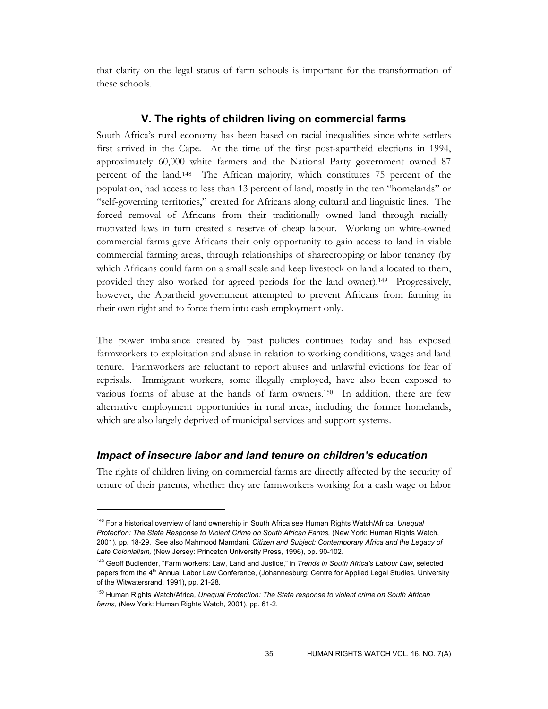that clarity on the legal status of farm schools is important for the transformation of these schools.

### **V. The rights of children living on commercial farms**

South Africa's rural economy has been based on racial inequalities since white settlers first arrived in the Cape. At the time of the first post-apartheid elections in 1994, approximately 60,000 white farmers and the National Party government owned 87 percent of the land.148 The African majority, which constitutes 75 percent of the population, had access to less than 13 percent of land, mostly in the ten "homelands" or "self-governing territories," created for Africans along cultural and linguistic lines. The forced removal of Africans from their traditionally owned land through raciallymotivated laws in turn created a reserve of cheap labour. Working on white-owned commercial farms gave Africans their only opportunity to gain access to land in viable commercial farming areas, through relationships of sharecropping or labor tenancy (by which Africans could farm on a small scale and keep livestock on land allocated to them, provided they also worked for agreed periods for the land owner).149 Progressively, however, the Apartheid government attempted to prevent Africans from farming in their own right and to force them into cash employment only.

The power imbalance created by past policies continues today and has exposed farmworkers to exploitation and abuse in relation to working conditions, wages and land tenure. Farmworkers are reluctant to report abuses and unlawful evictions for fear of reprisals. Immigrant workers, some illegally employed, have also been exposed to various forms of abuse at the hands of farm owners.<sup>150</sup> In addition, there are few alternative employment opportunities in rural areas, including the former homelands, which are also largely deprived of municipal services and support systems.

## *Impact of insecure labor and land tenure on children's education*

 $\ddot{\phantom{a}}$ 

The rights of children living on commercial farms are directly affected by the security of tenure of their parents, whether they are farmworkers working for a cash wage or labor

<sup>148</sup> For a historical overview of land ownership in South Africa see Human Rights Watch/Africa, *Unequal Protection: The State Response to Violent Crime on South African Farms,* (New York: Human Rights Watch, 2001), pp. 18-29. See also Mahmood Mamdani, *Citizen and Subject: Contemporary Africa and the Legacy of Late Colonialism,* (New Jersey: Princeton University Press, 1996), pp. 90-102.

<sup>149</sup> Geoff Budlender, "Farm workers: Law, Land and Justice," in *Trends in South Africa's Labour Law*, selected papers from the 4<sup>th</sup> Annual Labor Law Conference, (Johannesburg: Centre for Applied Legal Studies, University of the Witwatersrand, 1991), pp. 21-28.

<sup>150</sup> Human Rights Watch/Africa, *Unequal Protection: The State response to violent crime on South African farms,* (New York: Human Rights Watch, 2001), pp. 61-2.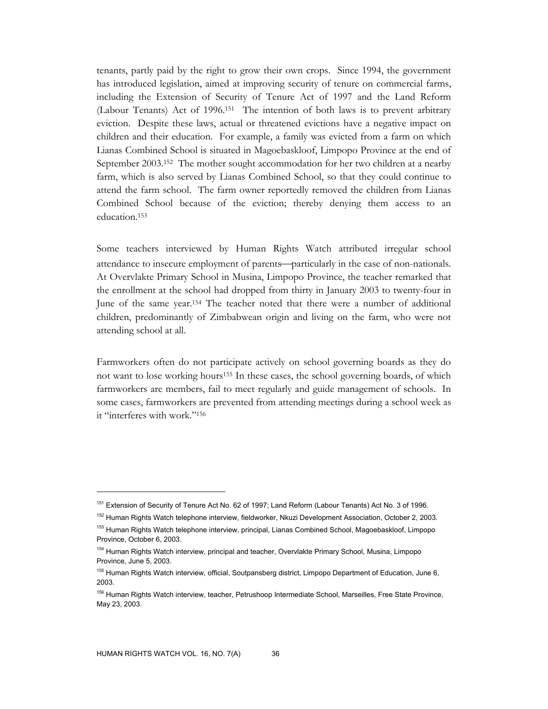tenants, partly paid by the right to grow their own crops. Since 1994, the government has introduced legislation, aimed at improving security of tenure on commercial farms, including the Extension of Security of Tenure Act of 1997 and the Land Reform (Labour Tenants) Act of 1996.151 The intention of both laws is to prevent arbitrary eviction. Despite these laws, actual or threatened evictions have a negative impact on children and their education. For example, a family was evicted from a farm on which Lianas Combined School is situated in Magoebaskloof, Limpopo Province at the end of September 2003.152 The mother sought accommodation for her two children at a nearby farm, which is also served by Lianas Combined School, so that they could continue to attend the farm school. The farm owner reportedly removed the children from Lianas Combined School because of the eviction; thereby denying them access to an education.153

Some teachers interviewed by Human Rights Watch attributed irregular school attendance to insecure employment of parents—particularly in the case of non-nationals. At Overvlakte Primary School in Musina, Limpopo Province, the teacher remarked that the enrollment at the school had dropped from thirty in January 2003 to twenty-four in June of the same year.154 The teacher noted that there were a number of additional children, predominantly of Zimbabwean origin and living on the farm, who were not attending school at all.

Farmworkers often do not participate actively on school governing boards as they do not want to lose working hours155 In these cases, the school governing boards, of which farmworkers are members, fail to meet regularly and guide management of schools. In some cases, farmworkers are prevented from attending meetings during a school week as it "interferes with work."156

<sup>&</sup>lt;sup>151</sup> Extension of Security of Tenure Act No. 62 of 1997; Land Reform (Labour Tenants) Act No. 3 of 1996.

<sup>152</sup> Human Rights Watch telephone interview, fieldworker, Nkuzi Development Association, October 2, 2003.

<sup>&</sup>lt;sup>153</sup> Human Rights Watch telephone interview, principal, Lianas Combined School, Magoebaskloof, Limpopo Province, October 6, 2003.

<sup>154</sup> Human Rights Watch interview, principal and teacher, Overvlakte Primary School, Musina, Limpopo Province, June 5, 2003.

<sup>&</sup>lt;sup>155</sup> Human Rights Watch interview, official, Soutpansberg district, Limpopo Department of Education, June 6, 2003.

<sup>156</sup> Human Rights Watch interview, teacher, Petrushoop Intermediate School, Marseilles, Free State Province, May 23, 2003.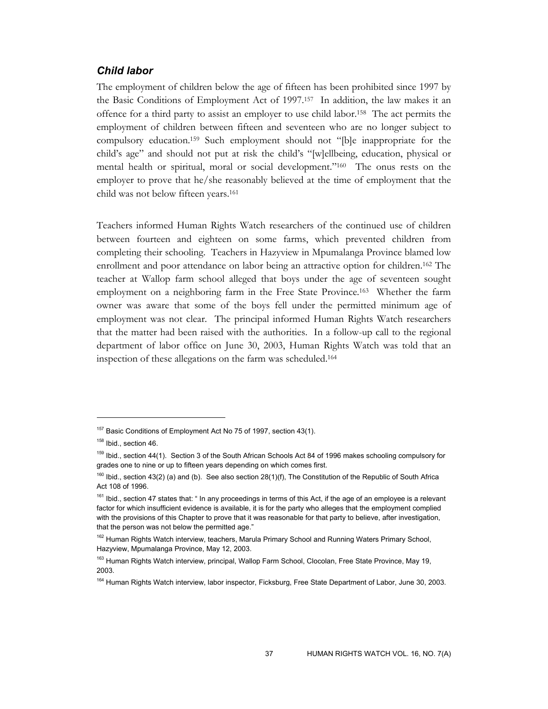# *Child labor*

The employment of children below the age of fifteen has been prohibited since 1997 by the Basic Conditions of Employment Act of 1997.157 In addition, the law makes it an offence for a third party to assist an employer to use child labor.158 The act permits the employment of children between fifteen and seventeen who are no longer subject to compulsory education.159 Such employment should not "[b]e inappropriate for the child's age" and should not put at risk the child's "[w]ellbeing, education, physical or mental health or spiritual, moral or social development."160 The onus rests on the employer to prove that he/she reasonably believed at the time of employment that the child was not below fifteen years.161

Teachers informed Human Rights Watch researchers of the continued use of children between fourteen and eighteen on some farms, which prevented children from completing their schooling. Teachers in Hazyview in Mpumalanga Province blamed low enrollment and poor attendance on labor being an attractive option for children.162 The teacher at Wallop farm school alleged that boys under the age of seventeen sought employment on a neighboring farm in the Free State Province.163 Whether the farm owner was aware that some of the boys fell under the permitted minimum age of employment was not clear. The principal informed Human Rights Watch researchers that the matter had been raised with the authorities. In a follow-up call to the regional department of labor office on June 30, 2003, Human Rights Watch was told that an inspection of these allegations on the farm was scheduled.164

<sup>&</sup>lt;sup>157</sup> Basic Conditions of Employment Act No 75 of 1997, section 43(1).

<sup>&</sup>lt;sup>158</sup> Ibid., section 46.

<sup>159</sup> Ibid., section 44(1). Section 3 of the South African Schools Act 84 of 1996 makes schooling compulsory for grades one to nine or up to fifteen years depending on which comes first.

<sup>&</sup>lt;sup>160</sup> Ibid., section 43(2) (a) and (b). See also section 28(1)(f), The Constitution of the Republic of South Africa Act 108 of 1996.

<sup>161</sup> Ibid., section 47 states that: " In any proceedings in terms of this Act, if the age of an employee is a relevant factor for which insufficient evidence is available, it is for the party who alleges that the employment complied with the provisions of this Chapter to prove that it was reasonable for that party to believe, after investigation, that the person was not below the permitted age."

<sup>&</sup>lt;sup>162</sup> Human Rights Watch interview, teachers, Marula Primary School and Running Waters Primary School, Hazyview, Mpumalanga Province, May 12, 2003.

<sup>&</sup>lt;sup>163</sup> Human Rights Watch interview, principal, Wallop Farm School, Clocolan, Free State Province, May 19, 2003.

<sup>164</sup> Human Rights Watch interview, labor inspector, Ficksburg, Free State Department of Labor, June 30, 2003.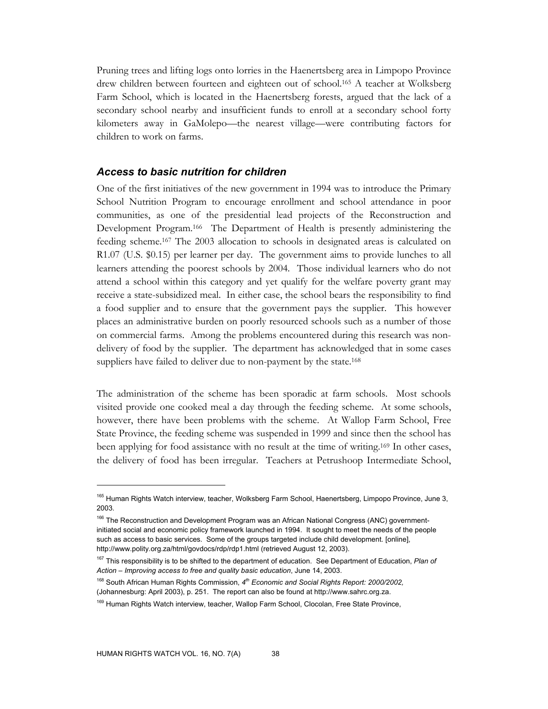Pruning trees and lifting logs onto lorries in the Haenertsberg area in Limpopo Province drew children between fourteen and eighteen out of school.165 A teacher at Wolksberg Farm School, which is located in the Haenertsberg forests, argued that the lack of a secondary school nearby and insufficient funds to enroll at a secondary school forty kilometers away in GaMolepo—the nearest village—were contributing factors for children to work on farms.

## *Access to basic nutrition for children*

One of the first initiatives of the new government in 1994 was to introduce the Primary School Nutrition Program to encourage enrollment and school attendance in poor communities, as one of the presidential lead projects of the Reconstruction and Development Program.166 The Department of Health is presently administering the feeding scheme.167 The 2003 allocation to schools in designated areas is calculated on R1.07 (U.S. \$0.15) per learner per day. The government aims to provide lunches to all learners attending the poorest schools by 2004. Those individual learners who do not attend a school within this category and yet qualify for the welfare poverty grant may receive a state-subsidized meal. In either case, the school bears the responsibility to find a food supplier and to ensure that the government pays the supplier. This however places an administrative burden on poorly resourced schools such as a number of those on commercial farms. Among the problems encountered during this research was nondelivery of food by the supplier. The department has acknowledged that in some cases suppliers have failed to deliver due to non-payment by the state.<sup>168</sup>

The administration of the scheme has been sporadic at farm schools. Most schools visited provide one cooked meal a day through the feeding scheme. At some schools, however, there have been problems with the scheme. At Wallop Farm School, Free State Province, the feeding scheme was suspended in 1999 and since then the school has been applying for food assistance with no result at the time of writing.169 In other cases, the delivery of food has been irregular. Teachers at Petrushoop Intermediate School,

<sup>&</sup>lt;sup>165</sup> Human Rights Watch interview, teacher, Wolksberg Farm School, Haenertsberg, Limpopo Province, June 3, 2003.

<sup>&</sup>lt;sup>166</sup> The Reconstruction and Development Program was an African National Congress (ANC) governmentinitiated social and economic policy framework launched in 1994. It sought to meet the needs of the people such as access to basic services. Some of the groups targeted include child development. [online], http://www.polity.org.za/html/govdocs/rdp/rdp1.html (retrieved August 12, 2003).

<sup>167</sup> This responsibility is to be shifted to the department of education. See Department of Education, *Plan of Action – Improving access to free and quality basic education*, June 14, 2003.

<sup>168</sup> South African Human Rights Commission, *4th Economic and Social Rights Report: 2000/2002,* (Johannesburg: April 2003), p. 251. The report can also be found at http://www.sahrc.org.za.

<sup>&</sup>lt;sup>169</sup> Human Rights Watch interview, teacher, Wallop Farm School, Clocolan, Free State Province,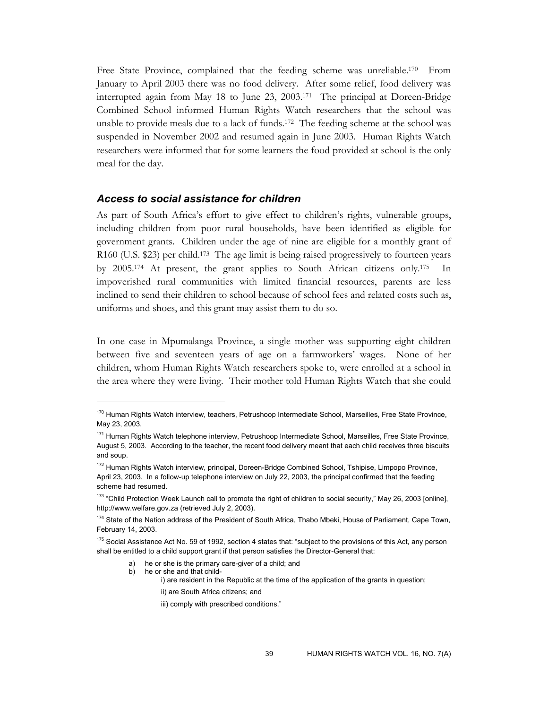Free State Province, complained that the feeding scheme was unreliable.170 From January to April 2003 there was no food delivery. After some relief, food delivery was interrupted again from May 18 to June 23, 2003.171 The principal at Doreen-Bridge Combined School informed Human Rights Watch researchers that the school was unable to provide meals due to a lack of funds.172 The feeding scheme at the school was suspended in November 2002 and resumed again in June 2003. Human Rights Watch researchers were informed that for some learners the food provided at school is the only meal for the day.

#### *Access to social assistance for children*

As part of South Africa's effort to give effect to children's rights, vulnerable groups, including children from poor rural households, have been identified as eligible for government grants. Children under the age of nine are eligible for a monthly grant of R160 (U.S. \$23) per child.<sup>173</sup> The age limit is being raised progressively to fourteen years by 2005.174 At present, the grant applies to South African citizens only.175 In impoverished rural communities with limited financial resources, parents are less inclined to send their children to school because of school fees and related costs such as, uniforms and shoes, and this grant may assist them to do so.

In one case in Mpumalanga Province, a single mother was supporting eight children between five and seventeen years of age on a farmworkers' wages. None of her children, whom Human Rights Watch researchers spoke to, were enrolled at a school in the area where they were living. Their mother told Human Rights Watch that she could

b) he or she and that child-

- i) are resident in the Republic at the time of the application of the grants in question;
	- ii) are South Africa citizens; and
	- iii) comply with prescribed conditions."

<sup>&</sup>lt;sup>170</sup> Human Rights Watch interview, teachers, Petrushoop Intermediate School, Marseilles, Free State Province, May 23, 2003.

<sup>&</sup>lt;sup>171</sup> Human Rights Watch telephone interview, Petrushoop Intermediate School, Marseilles, Free State Province, August 5, 2003. According to the teacher, the recent food delivery meant that each child receives three biscuits and soup.

<sup>&</sup>lt;sup>172</sup> Human Rights Watch interview, principal, Doreen-Bridge Combined School, Tshipise, Limpopo Province, April 23, 2003. In a follow-up telephone interview on July 22, 2003, the principal confirmed that the feeding scheme had resumed.

<sup>&</sup>lt;sup>173</sup> "Child Protection Week Launch call to promote the right of children to social security," May 26, 2003 [online], http://www.welfare.gov.za (retrieved July 2, 2003).

<sup>174</sup> State of the Nation address of the President of South Africa, Thabo Mbeki, House of Parliament, Cape Town, February 14, 2003.

<sup>&</sup>lt;sup>175</sup> Social Assistance Act No. 59 of 1992, section 4 states that: "subject to the provisions of this Act, any person shall be entitled to a child support grant if that person satisfies the Director-General that:

a) he or she is the primary care-giver of a child; and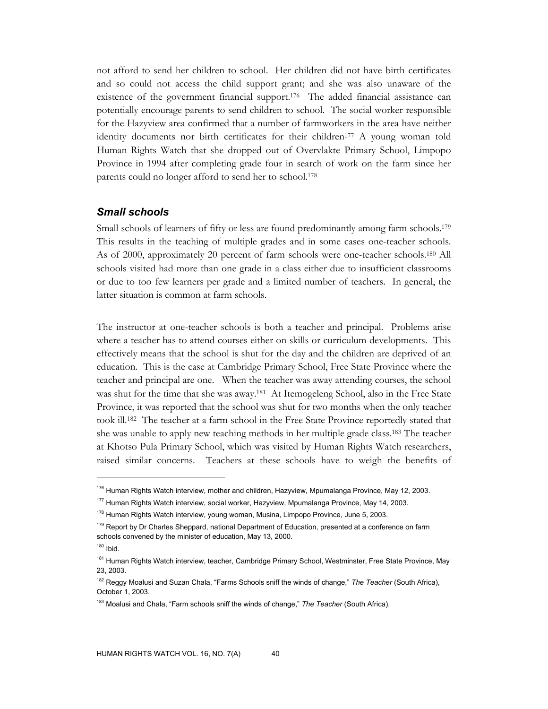not afford to send her children to school. Her children did not have birth certificates and so could not access the child support grant; and she was also unaware of the existence of the government financial support.<sup>176</sup> The added financial assistance can potentially encourage parents to send children to school. The social worker responsible for the Hazyview area confirmed that a number of farmworkers in the area have neither identity documents nor birth certificates for their children<sup>177</sup> A young woman told Human Rights Watch that she dropped out of Overvlakte Primary School, Limpopo Province in 1994 after completing grade four in search of work on the farm since her parents could no longer afford to send her to school.178

#### *Small schools*

Small schools of learners of fifty or less are found predominantly among farm schools.179 This results in the teaching of multiple grades and in some cases one-teacher schools. As of 2000, approximately 20 percent of farm schools were one-teacher schools.180 All schools visited had more than one grade in a class either due to insufficient classrooms or due to too few learners per grade and a limited number of teachers. In general, the latter situation is common at farm schools.

The instructor at one-teacher schools is both a teacher and principal. Problems arise where a teacher has to attend courses either on skills or curriculum developments. This effectively means that the school is shut for the day and the children are deprived of an education. This is the case at Cambridge Primary School, Free State Province where the teacher and principal are one. When the teacher was away attending courses, the school was shut for the time that she was away.181 At Itemogeleng School, also in the Free State Province, it was reported that the school was shut for two months when the only teacher took ill.182 The teacher at a farm school in the Free State Province reportedly stated that she was unable to apply new teaching methods in her multiple grade class.183 The teacher at Khotso Pula Primary School, which was visited by Human Rights Watch researchers, raised similar concerns. Teachers at these schools have to weigh the benefits of

<sup>&</sup>lt;sup>176</sup> Human Rights Watch interview, mother and children, Hazyview, Mpumalanga Province, May 12, 2003.

<sup>&</sup>lt;sup>177</sup> Human Rights Watch interview, social worker, Hazyview, Mpumalanga Province, May 14, 2003.

<sup>&</sup>lt;sup>178</sup> Human Rights Watch interview, young woman, Musina, Limpopo Province, June 5, 2003.

<sup>&</sup>lt;sup>179</sup> Report by Dr Charles Sheppard, national Department of Education, presented at a conference on farm schools convened by the minister of education, May 13, 2000.

<sup>180</sup> Ibid.

<sup>&</sup>lt;sup>181</sup> Human Rights Watch interview, teacher, Cambridge Primary School, Westminster, Free State Province, May 23, 2003.

<sup>182</sup> Reggy Moalusi and Suzan Chala, "Farms Schools sniff the winds of change," *The Teacher* (South Africa), October 1, 2003.

<sup>183</sup> Moalusi and Chala, "Farm schools sniff the winds of change," *The Teacher* (South Africa).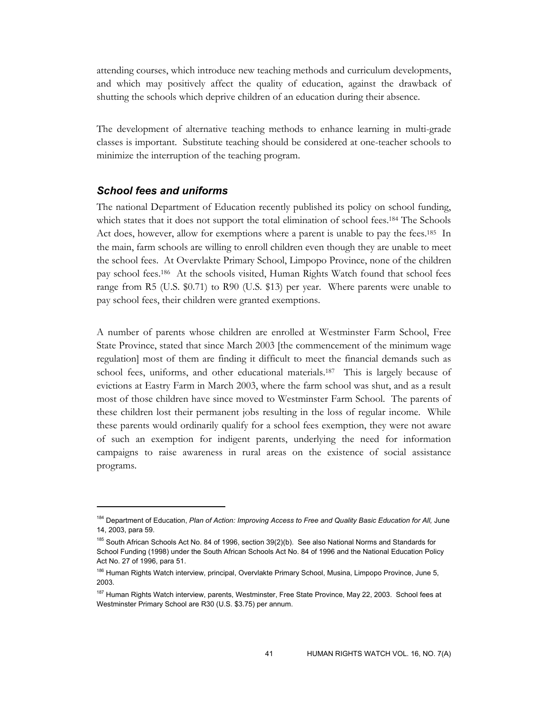attending courses, which introduce new teaching methods and curriculum developments, and which may positively affect the quality of education, against the drawback of shutting the schools which deprive children of an education during their absence.

The development of alternative teaching methods to enhance learning in multi-grade classes is important. Substitute teaching should be considered at one-teacher schools to minimize the interruption of the teaching program.

### *School fees and uniforms*

-

The national Department of Education recently published its policy on school funding, which states that it does not support the total elimination of school fees.<sup>184</sup> The Schools Act does, however, allow for exemptions where a parent is unable to pay the fees.185 In the main, farm schools are willing to enroll children even though they are unable to meet the school fees. At Overvlakte Primary School, Limpopo Province, none of the children pay school fees.186 At the schools visited, Human Rights Watch found that school fees range from R5 (U.S. \$0.71) to R90 (U.S. \$13) per year. Where parents were unable to pay school fees, their children were granted exemptions.

A number of parents whose children are enrolled at Westminster Farm School, Free State Province, stated that since March 2003 [the commencement of the minimum wage regulation] most of them are finding it difficult to meet the financial demands such as school fees, uniforms, and other educational materials.187 This is largely because of evictions at Eastry Farm in March 2003, where the farm school was shut, and as a result most of those children have since moved to Westminster Farm School. The parents of these children lost their permanent jobs resulting in the loss of regular income. While these parents would ordinarily qualify for a school fees exemption, they were not aware of such an exemption for indigent parents, underlying the need for information campaigns to raise awareness in rural areas on the existence of social assistance programs.

<sup>184</sup> Department of Education, *Plan of Action: Improving Access to Free and Quality Basic Education for All,* June 14, 2003, para 59.

<sup>185</sup> South African Schools Act No. 84 of 1996, section 39(2)(b). See also National Norms and Standards for School Funding (1998) under the South African Schools Act No. 84 of 1996 and the National Education Policy Act No. 27 of 1996, para 51.

<sup>&</sup>lt;sup>186</sup> Human Rights Watch interview, principal, Overvlakte Primary School, Musina, Limpopo Province, June 5, 2003.

<sup>&</sup>lt;sup>187</sup> Human Rights Watch interview, parents, Westminster, Free State Province, May 22, 2003. School fees at Westminster Primary School are R30 (U.S. \$3.75) per annum.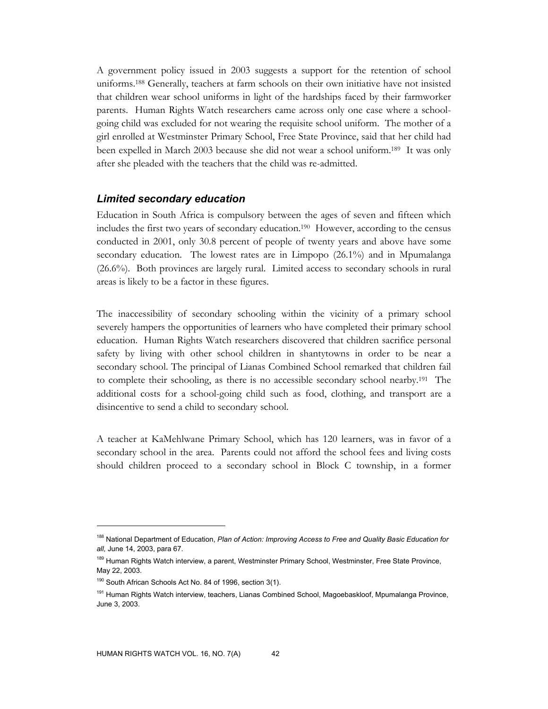A government policy issued in 2003 suggests a support for the retention of school uniforms.188 Generally, teachers at farm schools on their own initiative have not insisted that children wear school uniforms in light of the hardships faced by their farmworker parents. Human Rights Watch researchers came across only one case where a schoolgoing child was excluded for not wearing the requisite school uniform. The mother of a girl enrolled at Westminster Primary School, Free State Province, said that her child had been expelled in March 2003 because she did not wear a school uniform.189 It was only after she pleaded with the teachers that the child was re-admitted.

#### *Limited secondary education*

Education in South Africa is compulsory between the ages of seven and fifteen which includes the first two years of secondary education.190 However, according to the census conducted in 2001, only 30.8 percent of people of twenty years and above have some secondary education. The lowest rates are in Limpopo (26.1%) and in Mpumalanga (26.6%). Both provinces are largely rural. Limited access to secondary schools in rural areas is likely to be a factor in these figures.

The inaccessibility of secondary schooling within the vicinity of a primary school severely hampers the opportunities of learners who have completed their primary school education. Human Rights Watch researchers discovered that children sacrifice personal safety by living with other school children in shantytowns in order to be near a secondary school. The principal of Lianas Combined School remarked that children fail to complete their schooling, as there is no accessible secondary school nearby.191 The additional costs for a school-going child such as food, clothing, and transport are a disincentive to send a child to secondary school.

A teacher at KaMehlwane Primary School, which has 120 learners, was in favor of a secondary school in the area. Parents could not afford the school fees and living costs should children proceed to a secondary school in Block C township, in a former

<sup>188</sup> National Department of Education, *Plan of Action: Improving Access to Free and Quality Basic Education for all,* June 14, 2003, para 67.

<sup>&</sup>lt;sup>189</sup> Human Rights Watch interview, a parent, Westminster Primary School, Westminster, Free State Province, May 22, 2003.

<sup>&</sup>lt;sup>190</sup> South African Schools Act No. 84 of 1996, section 3(1).

<sup>&</sup>lt;sup>191</sup> Human Rights Watch interview, teachers, Lianas Combined School, Magoebaskloof, Mpumalanga Province, June 3, 2003.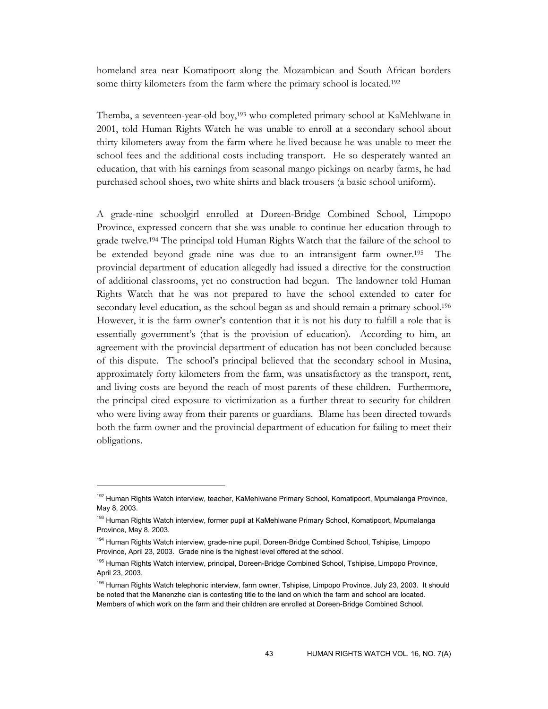homeland area near Komatipoort along the Mozambican and South African borders some thirty kilometers from the farm where the primary school is located.192

Themba, a seventeen-year-old boy,193 who completed primary school at KaMehlwane in 2001, told Human Rights Watch he was unable to enroll at a secondary school about thirty kilometers away from the farm where he lived because he was unable to meet the school fees and the additional costs including transport. He so desperately wanted an education, that with his earnings from seasonal mango pickings on nearby farms, he had purchased school shoes, two white shirts and black trousers (a basic school uniform).

A grade-nine schoolgirl enrolled at Doreen-Bridge Combined School, Limpopo Province, expressed concern that she was unable to continue her education through to grade twelve.194 The principal told Human Rights Watch that the failure of the school to be extended beyond grade nine was due to an intransigent farm owner.195 The provincial department of education allegedly had issued a directive for the construction of additional classrooms, yet no construction had begun. The landowner told Human Rights Watch that he was not prepared to have the school extended to cater for secondary level education, as the school began as and should remain a primary school.<sup>196</sup> However, it is the farm owner's contention that it is not his duty to fulfill a role that is essentially government's (that is the provision of education). According to him, an agreement with the provincial department of education has not been concluded because of this dispute. The school's principal believed that the secondary school in Musina, approximately forty kilometers from the farm, was unsatisfactory as the transport, rent, and living costs are beyond the reach of most parents of these children. Furthermore, the principal cited exposure to victimization as a further threat to security for children who were living away from their parents or guardians. Blame has been directed towards both the farm owner and the provincial department of education for failing to meet their obligations.

<sup>&</sup>lt;sup>192</sup> Human Rights Watch interview, teacher, KaMehlwane Primary School, Komatipoort, Mpumalanga Province, May 8, 2003.

<sup>&</sup>lt;sup>193</sup> Human Rights Watch interview, former pupil at KaMehlwane Primary School, Komatipoort, Mpumalanga Province, May 8, 2003.

<sup>&</sup>lt;sup>194</sup> Human Rights Watch interview, grade-nine pupil, Doreen-Bridge Combined School, Tshipise, Limpopo Province, April 23, 2003. Grade nine is the highest level offered at the school.

<sup>&</sup>lt;sup>195</sup> Human Rights Watch interview, principal, Doreen-Bridge Combined School, Tshipise, Limpopo Province, April 23, 2003.

<sup>&</sup>lt;sup>196</sup> Human Rights Watch telephonic interview, farm owner, Tshipise, Limpopo Province, July 23, 2003. It should be noted that the Manenzhe clan is contesting title to the land on which the farm and school are located. Members of which work on the farm and their children are enrolled at Doreen-Bridge Combined School.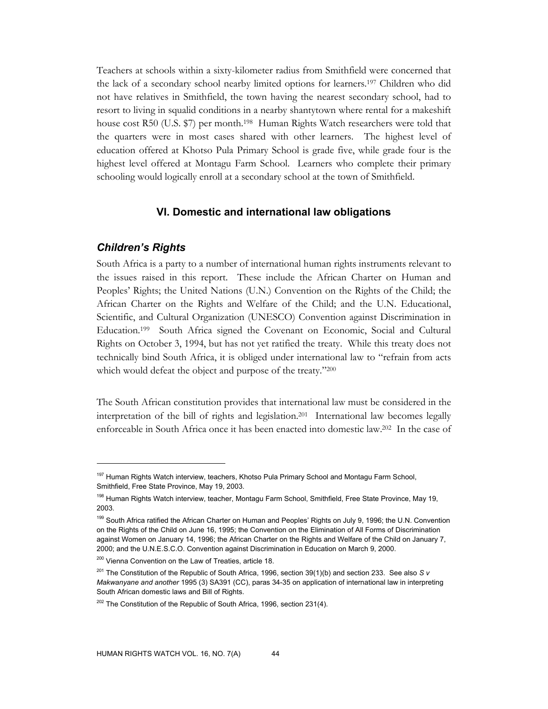Teachers at schools within a sixty-kilometer radius from Smithfield were concerned that the lack of a secondary school nearby limited options for learners.197 Children who did not have relatives in Smithfield, the town having the nearest secondary school, had to resort to living in squalid conditions in a nearby shantytown where rental for a makeshift house cost R50 (U.S. \$7) per month.<sup>198</sup> Human Rights Watch researchers were told that the quarters were in most cases shared with other learners. The highest level of education offered at Khotso Pula Primary School is grade five, while grade four is the highest level offered at Montagu Farm School. Learners who complete their primary schooling would logically enroll at a secondary school at the town of Smithfield.

#### **VI. Domestic and international law obligations**

#### *Children's Rights*

-

South Africa is a party to a number of international human rights instruments relevant to the issues raised in this report. These include the African Charter on Human and Peoples' Rights; the United Nations (U.N.) Convention on the Rights of the Child; the African Charter on the Rights and Welfare of the Child; and the U.N. Educational, Scientific, and Cultural Organization (UNESCO) Convention against Discrimination in Education.199 South Africa signed the Covenant on Economic, Social and Cultural Rights on October 3, 1994, but has not yet ratified the treaty. While this treaty does not technically bind South Africa, it is obliged under international law to "refrain from acts which would defeat the object and purpose of the treaty."200

The South African constitution provides that international law must be considered in the interpretation of the bill of rights and legislation.201 International law becomes legally enforceable in South Africa once it has been enacted into domestic law.202 In the case of

<sup>&</sup>lt;sup>197</sup> Human Rights Watch interview, teachers, Khotso Pula Primary School and Montagu Farm School, Smithfield, Free State Province, May 19, 2003.

<sup>&</sup>lt;sup>198</sup> Human Rights Watch interview, teacher, Montagu Farm School, Smithfield, Free State Province, May 19, 2003.

<sup>&</sup>lt;sup>199</sup> South Africa ratified the African Charter on Human and Peoples' Rights on July 9, 1996; the U.N. Convention on the Rights of the Child on June 16, 1995; the Convention on the Elimination of All Forms of Discrimination against Women on January 14, 1996; the African Charter on the Rights and Welfare of the Child on January 7, 2000; and the U.N.E.S.C.O. Convention against Discrimination in Education on March 9, 2000.

<sup>&</sup>lt;sup>200</sup> Vienna Convention on the Law of Treaties, article 18.

<sup>201</sup> The Constitution of the Republic of South Africa, 1996, section 39(1)(b) and section 233. See also *S v Makwanyane and another* 1995 (3) SA391 (CC), paras 34-35 on application of international law in interpreting South African domestic laws and Bill of Rights.

 $202$  The Constitution of the Republic of South Africa, 1996, section 231(4).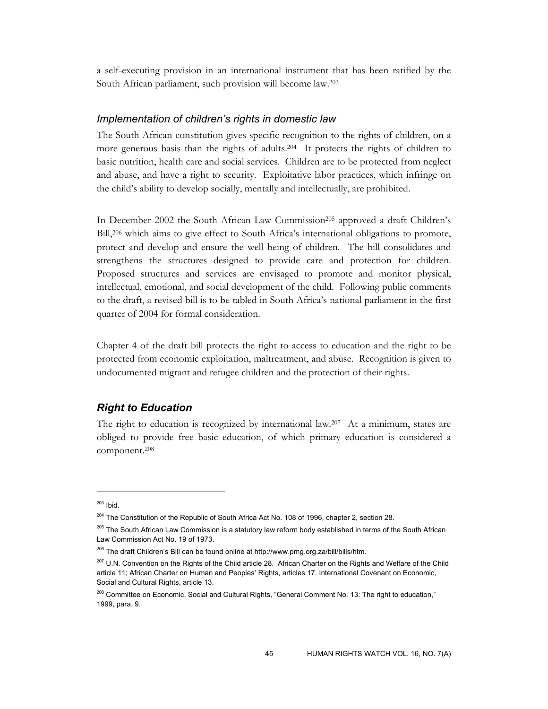a self-executing provision in an international instrument that has been ratified by the South African parliament, such provision will become law.203

#### *Implementation of children's rights in domestic law*

The South African constitution gives specific recognition to the rights of children, on a more generous basis than the rights of adults.204 It protects the rights of children to basic nutrition, health care and social services. Children are to be protected from neglect and abuse, and have a right to security. Exploitative labor practices, which infringe on the child's ability to develop socially, mentally and intellectually, are prohibited.

In December 2002 the South African Law Commission<sup>205</sup> approved a draft Children's Bill,206 which aims to give effect to South Africa's international obligations to promote, protect and develop and ensure the well being of children. The bill consolidates and strengthens the structures designed to provide care and protection for children. Proposed structures and services are envisaged to promote and monitor physical, intellectual, emotional, and social development of the child. Following public comments to the draft, a revised bill is to be tabled in South Africa's national parliament in the first quarter of 2004 for formal consideration.

Chapter 4 of the draft bill protects the right to access to education and the right to be protected from economic exploitation, maltreatment, and abuse. Recognition is given to undocumented migrant and refugee children and the protection of their rights.

## *Right to Education*

The right to education is recognized by international law.<sup>207</sup> At a minimum, states are obliged to provide free basic education, of which primary education is considered a component.208

<sup>203</sup> Ibid.

<sup>&</sup>lt;sup>204</sup> The Constitution of the Republic of South Africa Act No. 108 of 1996, chapter 2, section 28.

<sup>&</sup>lt;sup>205</sup> The South African Law Commission is a statutory law reform body established in terms of the South African Law Commission Act No. 19 of 1973.

<sup>&</sup>lt;sup>206</sup> The draft Children's Bill can be found online at http://www.pmg.org.za/bill/bills/htm.

<sup>&</sup>lt;sup>207</sup> U.N. Convention on the Rights of the Child article 28. African Charter on the Rights and Welfare of the Child article 11; African Charter on Human and Peoples' Rights, articles 17. International Covenant on Economic, Social and Cultural Rights, article 13.

<sup>&</sup>lt;sup>208</sup> Committee on Economic, Social and Cultural Rights, "General Comment No. 13: The right to education," 1999, para. 9.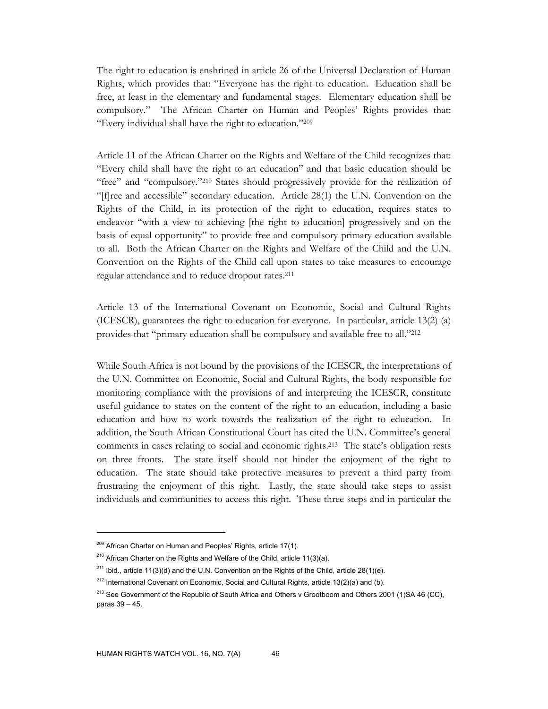The right to education is enshrined in article 26 of the Universal Declaration of Human Rights, which provides that: "Everyone has the right to education. Education shall be free, at least in the elementary and fundamental stages. Elementary education shall be compulsory." The African Charter on Human and Peoples' Rights provides that: "Every individual shall have the right to education."209

Article 11 of the African Charter on the Rights and Welfare of the Child recognizes that: "Every child shall have the right to an education" and that basic education should be "free" and "compulsory."210 States should progressively provide for the realization of "[f]ree and accessible" secondary education. Article 28(1) the U.N. Convention on the Rights of the Child, in its protection of the right to education, requires states to endeavor "with a view to achieving [the right to education] progressively and on the basis of equal opportunity" to provide free and compulsory primary education available to all. Both the African Charter on the Rights and Welfare of the Child and the U.N. Convention on the Rights of the Child call upon states to take measures to encourage regular attendance and to reduce dropout rates.211

Article 13 of the International Covenant on Economic, Social and Cultural Rights (ICESCR), guarantees the right to education for everyone. In particular, article 13(2) (a) provides that "primary education shall be compulsory and available free to all."212

While South Africa is not bound by the provisions of the ICESCR, the interpretations of the U.N. Committee on Economic, Social and Cultural Rights, the body responsible for monitoring compliance with the provisions of and interpreting the ICESCR, constitute useful guidance to states on the content of the right to an education, including a basic education and how to work towards the realization of the right to education. In addition, the South African Constitutional Court has cited the U.N. Committee's general comments in cases relating to social and economic rights.213 The state's obligation rests on three fronts. The state itself should not hinder the enjoyment of the right to education. The state should take protective measures to prevent a third party from frustrating the enjoyment of this right. Lastly, the state should take steps to assist individuals and communities to access this right. These three steps and in particular the

<sup>&</sup>lt;sup>209</sup> African Charter on Human and Peoples' Rights, article 17(1).

<sup>&</sup>lt;sup>210</sup> African Charter on the Rights and Welfare of the Child, article 11(3)(a).

<sup>&</sup>lt;sup>211</sup> Ibid., article 11(3)(d) and the U.N. Convention on the Rights of the Child, article 28(1)(e).

 $212$  International Covenant on Economic, Social and Cultural Rights, article 13(2)(a) and (b).

<sup>&</sup>lt;sup>213</sup> See Government of the Republic of South Africa and Others v Grootboom and Others 2001 (1)SA 46 (CC), paras 39 – 45.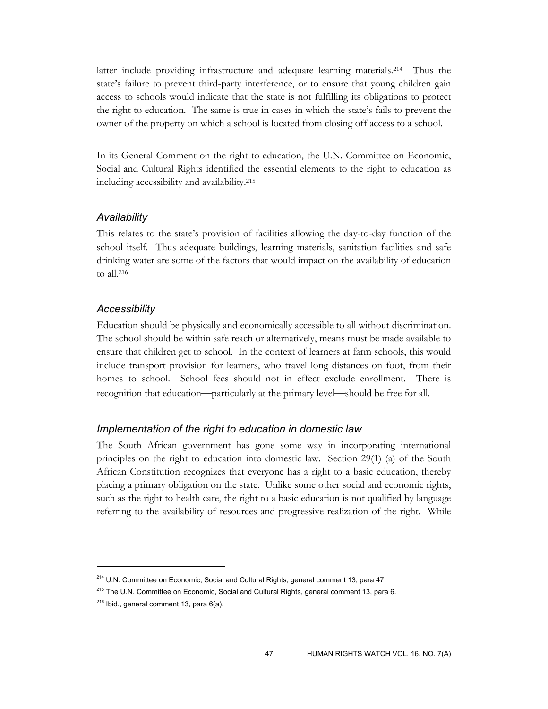latter include providing infrastructure and adequate learning materials.214 Thus the state's failure to prevent third-party interference, or to ensure that young children gain access to schools would indicate that the state is not fulfilling its obligations to protect the right to education. The same is true in cases in which the state's fails to prevent the owner of the property on which a school is located from closing off access to a school.

In its General Comment on the right to education, the U.N. Committee on Economic, Social and Cultural Rights identified the essential elements to the right to education as including accessibility and availability.215

#### *Availability*

This relates to the state's provision of facilities allowing the day-to-day function of the school itself. Thus adequate buildings, learning materials, sanitation facilities and safe drinking water are some of the factors that would impact on the availability of education to all.216

#### *Accessibility*

Education should be physically and economically accessible to all without discrimination. The school should be within safe reach or alternatively, means must be made available to ensure that children get to school. In the context of learners at farm schools, this would include transport provision for learners, who travel long distances on foot, from their homes to school. School fees should not in effect exclude enrollment. There is recognition that education—particularly at the primary level—should be free for all.

#### *Implementation of the right to education in domestic law*

The South African government has gone some way in incorporating international principles on the right to education into domestic law. Section 29(1) (a) of the South African Constitution recognizes that everyone has a right to a basic education, thereby placing a primary obligation on the state. Unlike some other social and economic rights, such as the right to health care, the right to a basic education is not qualified by language referring to the availability of resources and progressive realization of the right. While

<sup>&</sup>lt;sup>214</sup> U.N. Committee on Economic, Social and Cultural Rights, general comment 13, para 47.

<sup>&</sup>lt;sup>215</sup> The U.N. Committee on Economic, Social and Cultural Rights, general comment 13, para 6.

 $216$  Ibid., general comment 13, para 6(a).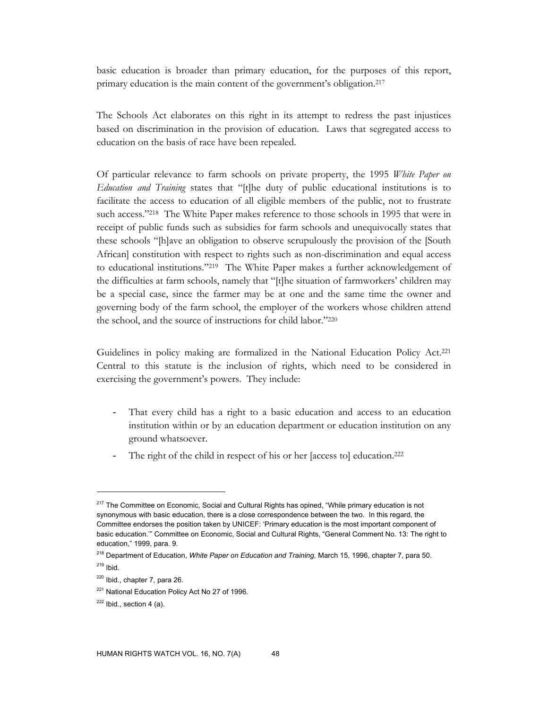basic education is broader than primary education, for the purposes of this report, primary education is the main content of the government's obligation.217

The Schools Act elaborates on this right in its attempt to redress the past injustices based on discrimination in the provision of education. Laws that segregated access to education on the basis of race have been repealed.

Of particular relevance to farm schools on private property, the 1995 *White Paper on Education and Training* states that "[t]he duty of public educational institutions is to facilitate the access to education of all eligible members of the public, not to frustrate such access."<sup>218</sup> The White Paper makes reference to those schools in 1995 that were in receipt of public funds such as subsidies for farm schools and unequivocally states that these schools "[h]ave an obligation to observe scrupulously the provision of the [South African] constitution with respect to rights such as non-discrimination and equal access to educational institutions."219 The White Paper makes a further acknowledgement of the difficulties at farm schools, namely that "[t]he situation of farmworkers' children may be a special case, since the farmer may be at one and the same time the owner and governing body of the farm school, the employer of the workers whose children attend the school, and the source of instructions for child labor."220

Guidelines in policy making are formalized in the National Education Policy Act.221 Central to this statute is the inclusion of rights, which need to be considered in exercising the government's powers. They include:

- That every child has a right to a basic education and access to an education institution within or by an education department or education institution on any ground whatsoever.
- The right of the child in respect of his or her [access to] education.<sup>222</sup>

<sup>&</sup>lt;sup>217</sup> The Committee on Economic, Social and Cultural Rights has opined, "While primary education is not synonymous with basic education, there is a close correspondence between the two. In this regard, the Committee endorses the position taken by UNICEF: 'Primary education is the most important component of basic education.'" Committee on Economic, Social and Cultural Rights, "General Comment No. 13: The right to education," 1999, para. 9.

<sup>218</sup> Department of Education, *White Paper on Education and Training,* March 15, 1996, chapter 7, para 50.

 $219$  Ibid.

<sup>220</sup> Ibid., chapter 7, para 26.

<sup>&</sup>lt;sup>221</sup> National Education Policy Act No 27 of 1996.

 $222$  Ibid., section 4 (a).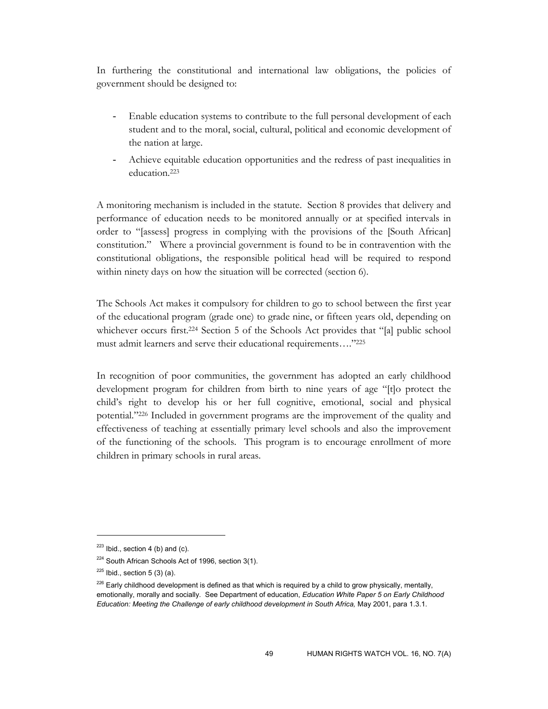In furthering the constitutional and international law obligations, the policies of government should be designed to:

- Enable education systems to contribute to the full personal development of each student and to the moral, social, cultural, political and economic development of the nation at large.
- Achieve equitable education opportunities and the redress of past inequalities in education.223

A monitoring mechanism is included in the statute. Section 8 provides that delivery and performance of education needs to be monitored annually or at specified intervals in order to "[assess] progress in complying with the provisions of the [South African] constitution." Where a provincial government is found to be in contravention with the constitutional obligations, the responsible political head will be required to respond within ninety days on how the situation will be corrected (section 6).

The Schools Act makes it compulsory for children to go to school between the first year of the educational program (grade one) to grade nine, or fifteen years old, depending on whichever occurs first.<sup>224</sup> Section 5 of the Schools Act provides that "[a] public school must admit learners and serve their educational requirements…."225

In recognition of poor communities, the government has adopted an early childhood development program for children from birth to nine years of age "[t]o protect the child's right to develop his or her full cognitive, emotional, social and physical potential."226 Included in government programs are the improvement of the quality and effectiveness of teaching at essentially primary level schools and also the improvement of the functioning of the schools. This program is to encourage enrollment of more children in primary schools in rural areas.

 $223$  Ibid., section 4 (b) and (c).

<sup>&</sup>lt;sup>224</sup> South African Schools Act of 1996, section 3(1).

 $225$  Ibid., section 5 (3) (a).

 $226$  Early childhood development is defined as that which is required by a child to grow physically, mentally, emotionally, morally and socially. See Department of education, *Education White Paper 5 on Early Childhood Education: Meeting the Challenge of early childhood development in South Africa,* May 2001, para 1.3.1.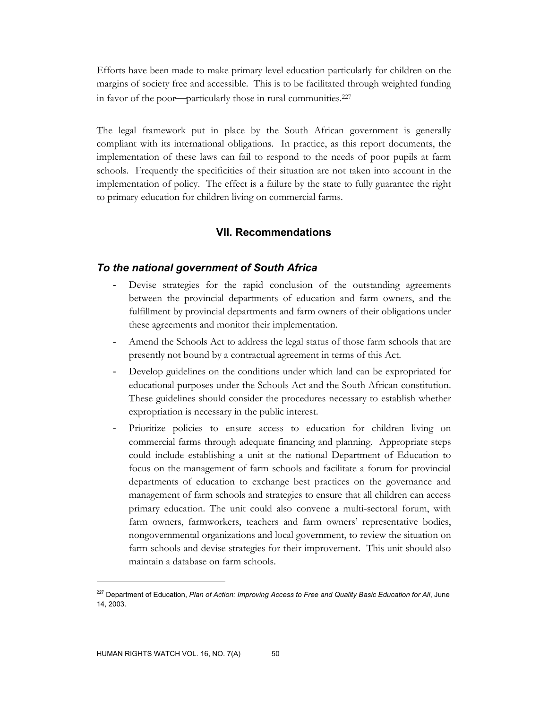Efforts have been made to make primary level education particularly for children on the margins of society free and accessible. This is to be facilitated through weighted funding in favor of the poor-particularly those in rural communities.<sup>227</sup>

The legal framework put in place by the South African government is generally compliant with its international obligations. In practice, as this report documents, the implementation of these laws can fail to respond to the needs of poor pupils at farm schools. Frequently the specificities of their situation are not taken into account in the implementation of policy. The effect is a failure by the state to fully guarantee the right to primary education for children living on commercial farms.

# **VII. Recommendations**

### *To the national government of South Africa*

- Devise strategies for the rapid conclusion of the outstanding agreements between the provincial departments of education and farm owners, and the fulfillment by provincial departments and farm owners of their obligations under these agreements and monitor their implementation.
- Amend the Schools Act to address the legal status of those farm schools that are presently not bound by a contractual agreement in terms of this Act.
- Develop guidelines on the conditions under which land can be expropriated for educational purposes under the Schools Act and the South African constitution. These guidelines should consider the procedures necessary to establish whether expropriation is necessary in the public interest.
- Prioritize policies to ensure access to education for children living on commercial farms through adequate financing and planning. Appropriate steps could include establishing a unit at the national Department of Education to focus on the management of farm schools and facilitate a forum for provincial departments of education to exchange best practices on the governance and management of farm schools and strategies to ensure that all children can access primary education. The unit could also convene a multi-sectoral forum, with farm owners, farmworkers, teachers and farm owners' representative bodies, nongovernmental organizations and local government, to review the situation on farm schools and devise strategies for their improvement. This unit should also maintain a database on farm schools.

<sup>227</sup> Department of Education, *Plan of Action: Improving Access to Free and Quality Basic Education for All*, June 14, 2003.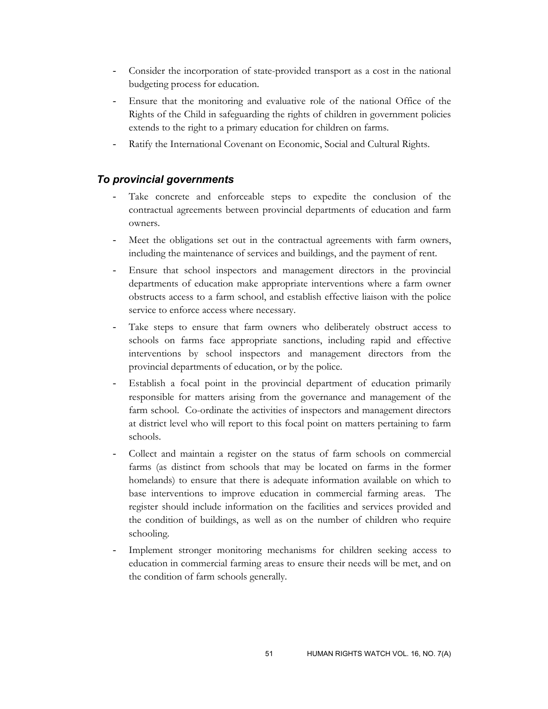- Consider the incorporation of state-provided transport as a cost in the national budgeting process for education.
- Ensure that the monitoring and evaluative role of the national Office of the Rights of the Child in safeguarding the rights of children in government policies extends to the right to a primary education for children on farms.
- Ratify the International Covenant on Economic, Social and Cultural Rights.

# *To provincial governments*

- Take concrete and enforceable steps to expedite the conclusion of the contractual agreements between provincial departments of education and farm owners.
- Meet the obligations set out in the contractual agreements with farm owners, including the maintenance of services and buildings, and the payment of rent.
- Ensure that school inspectors and management directors in the provincial departments of education make appropriate interventions where a farm owner obstructs access to a farm school, and establish effective liaison with the police service to enforce access where necessary.
- Take steps to ensure that farm owners who deliberately obstruct access to schools on farms face appropriate sanctions, including rapid and effective interventions by school inspectors and management directors from the provincial departments of education, or by the police.
- Establish a focal point in the provincial department of education primarily responsible for matters arising from the governance and management of the farm school. Co-ordinate the activities of inspectors and management directors at district level who will report to this focal point on matters pertaining to farm schools.
- Collect and maintain a register on the status of farm schools on commercial farms (as distinct from schools that may be located on farms in the former homelands) to ensure that there is adequate information available on which to base interventions to improve education in commercial farming areas. The register should include information on the facilities and services provided and the condition of buildings, as well as on the number of children who require schooling.
- Implement stronger monitoring mechanisms for children seeking access to education in commercial farming areas to ensure their needs will be met, and on the condition of farm schools generally.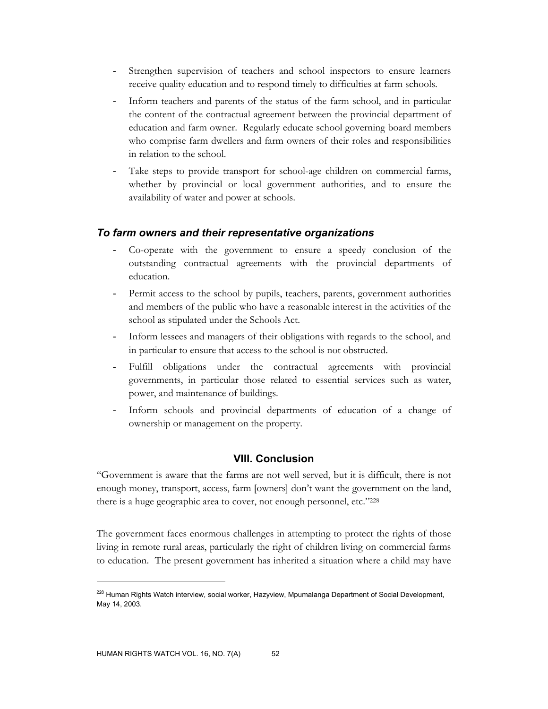- Strengthen supervision of teachers and school inspectors to ensure learners receive quality education and to respond timely to difficulties at farm schools.
- Inform teachers and parents of the status of the farm school, and in particular the content of the contractual agreement between the provincial department of education and farm owner. Regularly educate school governing board members who comprise farm dwellers and farm owners of their roles and responsibilities in relation to the school.
- Take steps to provide transport for school-age children on commercial farms, whether by provincial or local government authorities, and to ensure the availability of water and power at schools.

# *To farm owners and their representative organizations*

- Co-operate with the government to ensure a speedy conclusion of the outstanding contractual agreements with the provincial departments of education.
- Permit access to the school by pupils, teachers, parents, government authorities and members of the public who have a reasonable interest in the activities of the school as stipulated under the Schools Act.
- Inform lessees and managers of their obligations with regards to the school, and in particular to ensure that access to the school is not obstructed.
- Fulfill obligations under the contractual agreements with provincial governments, in particular those related to essential services such as water, power, and maintenance of buildings.
- Inform schools and provincial departments of education of a change of ownership or management on the property.

# **VIII. Conclusion**

"Government is aware that the farms are not well served, but it is difficult, there is not enough money, transport, access, farm [owners] don't want the government on the land, there is a huge geographic area to cover, not enough personnel, etc."228

The government faces enormous challenges in attempting to protect the rights of those living in remote rural areas, particularly the right of children living on commercial farms to education. The present government has inherited a situation where a child may have

<sup>&</sup>lt;sup>228</sup> Human Rights Watch interview, social worker, Hazyview, Mpumalanga Department of Social Development, May 14, 2003.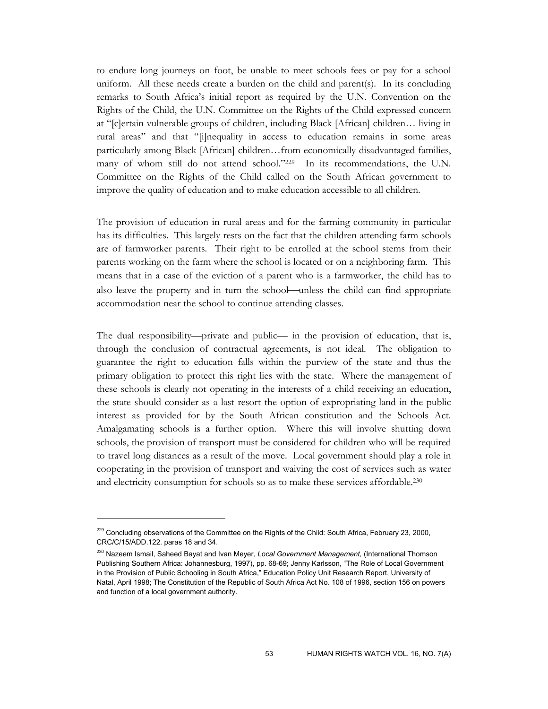to endure long journeys on foot, be unable to meet schools fees or pay for a school uniform. All these needs create a burden on the child and parent(s). In its concluding remarks to South Africa's initial report as required by the U.N. Convention on the Rights of the Child, the U.N. Committee on the Rights of the Child expressed concern at "[c]ertain vulnerable groups of children, including Black [African] children… living in rural areas" and that "[i]nequality in access to education remains in some areas particularly among Black [African] children…from economically disadvantaged families, many of whom still do not attend school."<sup>229</sup> In its recommendations, the U.N. Committee on the Rights of the Child called on the South African government to improve the quality of education and to make education accessible to all children.

The provision of education in rural areas and for the farming community in particular has its difficulties. This largely rests on the fact that the children attending farm schools are of farmworker parents. Their right to be enrolled at the school stems from their parents working on the farm where the school is located or on a neighboring farm. This means that in a case of the eviction of a parent who is a farmworker, the child has to also leave the property and in turn the school—unless the child can find appropriate accommodation near the school to continue attending classes.

The dual responsibility—private and public— in the provision of education, that is, through the conclusion of contractual agreements, is not ideal. The obligation to guarantee the right to education falls within the purview of the state and thus the primary obligation to protect this right lies with the state. Where the management of these schools is clearly not operating in the interests of a child receiving an education, the state should consider as a last resort the option of expropriating land in the public interest as provided for by the South African constitution and the Schools Act. Amalgamating schools is a further option. Where this will involve shutting down schools, the provision of transport must be considered for children who will be required to travel long distances as a result of the move. Local government should play a role in cooperating in the provision of transport and waiving the cost of services such as water and electricity consumption for schools so as to make these services affordable.230

<sup>&</sup>lt;sup>229</sup> Concluding observations of the Committee on the Rights of the Child: South Africa, February 23, 2000, CRC/C/15/ADD.122. paras 18 and 34.

<sup>230</sup> Nazeem Ismail, Saheed Bayat and Ivan Meyer, *Local Government Management,* (International Thomson Publishing Southern Africa: Johannesburg, 1997), pp. 68-69; Jenny Karlsson, "The Role of Local Government in the Provision of Public Schooling in South Africa," Education Policy Unit Research Report, University of Natal, April 1998; The Constitution of the Republic of South Africa Act No. 108 of 1996, section 156 on powers and function of a local government authority.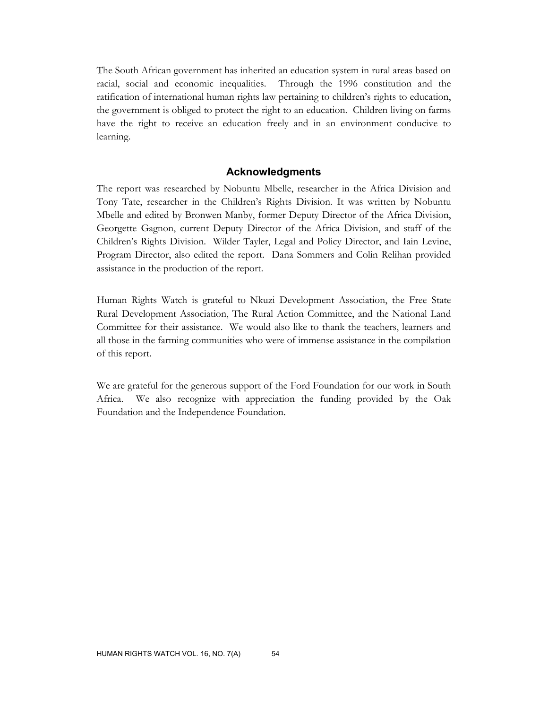The South African government has inherited an education system in rural areas based on racial, social and economic inequalities. Through the 1996 constitution and the ratification of international human rights law pertaining to children's rights to education, the government is obliged to protect the right to an education. Children living on farms have the right to receive an education freely and in an environment conducive to learning.

#### **Acknowledgments**

The report was researched by Nobuntu Mbelle, researcher in the Africa Division and Tony Tate, researcher in the Children's Rights Division. It was written by Nobuntu Mbelle and edited by Bronwen Manby, former Deputy Director of the Africa Division, Georgette Gagnon, current Deputy Director of the Africa Division, and staff of the Children's Rights Division. Wilder Tayler, Legal and Policy Director, and Iain Levine, Program Director, also edited the report. Dana Sommers and Colin Relihan provided assistance in the production of the report.

Human Rights Watch is grateful to Nkuzi Development Association, the Free State Rural Development Association, The Rural Action Committee, and the National Land Committee for their assistance. We would also like to thank the teachers, learners and all those in the farming communities who were of immense assistance in the compilation of this report.

We are grateful for the generous support of the Ford Foundation for our work in South Africa. We also recognize with appreciation the funding provided by the Oak Foundation and the Independence Foundation.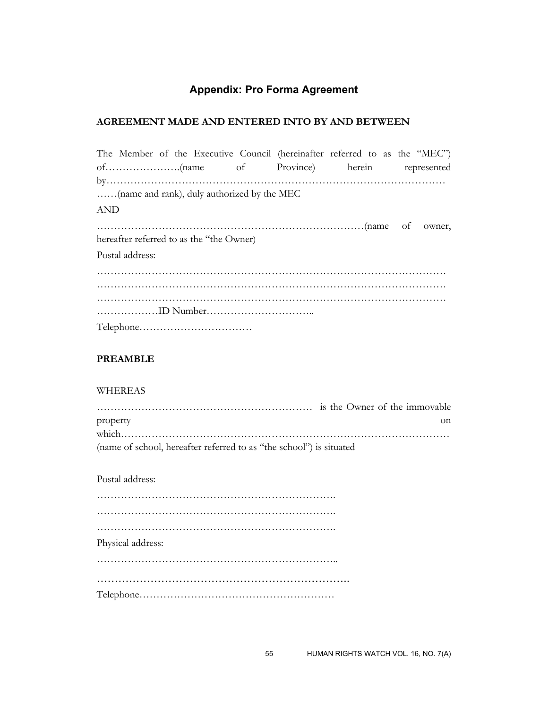# **Appendix: Pro Forma Agreement**

## **AGREEMENT MADE AND ENTERED INTO BY AND BETWEEN**

|            |                 |                                             | The Member of the Executive Council (hereinafter referred to as the "MEC") |  |  |
|------------|-----------------|---------------------------------------------|----------------------------------------------------------------------------|--|--|
|            |                 |                                             | of Province) herein represented                                            |  |  |
|            |                 |                                             |                                                                            |  |  |
|            |                 | (name and rank), duly authorized by the MEC |                                                                            |  |  |
| <b>AND</b> |                 |                                             |                                                                            |  |  |
|            |                 |                                             |                                                                            |  |  |
|            |                 | hereafter referred to as the "the Owner)    |                                                                            |  |  |
|            | Postal address: |                                             |                                                                            |  |  |
|            |                 |                                             |                                                                            |  |  |
|            |                 |                                             |                                                                            |  |  |
|            |                 |                                             |                                                                            |  |  |
|            |                 |                                             |                                                                            |  |  |
|            |                 |                                             |                                                                            |  |  |

# **PREAMBLE**

#### WHEREAS

| property                                                            |  |
|---------------------------------------------------------------------|--|
|                                                                     |  |
| (name of school, hereafter referred to as "the school") is situated |  |

Postal address:

| Physical address: |  |  |  |  |  |  |  |  |  |  |  |  |  |  |  |  |  |  |  |  |  |  |  |  |  |
|-------------------|--|--|--|--|--|--|--|--|--|--|--|--|--|--|--|--|--|--|--|--|--|--|--|--|--|
|                   |  |  |  |  |  |  |  |  |  |  |  |  |  |  |  |  |  |  |  |  |  |  |  |  |  |
|                   |  |  |  |  |  |  |  |  |  |  |  |  |  |  |  |  |  |  |  |  |  |  |  |  |  |
|                   |  |  |  |  |  |  |  |  |  |  |  |  |  |  |  |  |  |  |  |  |  |  |  |  |  |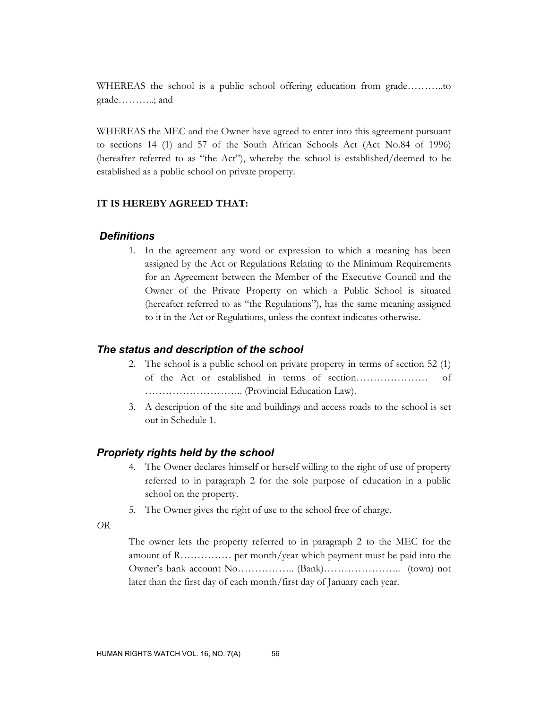WHEREAS the school is a public school offering education from grade………..to grade………..; and

WHEREAS the MEC and the Owner have agreed to enter into this agreement pursuant to sections 14 (1) and 57 of the South African Schools Act (Act No.84 of 1996) (hereafter referred to as "the Act"), whereby the school is established/deemed to be established as a public school on private property.

#### **IT IS HEREBY AGREED THAT:**

## *Definitions*

1. In the agreement any word or expression to which a meaning has been assigned by the Act or Regulations Relating to the Minimum Requirements for an Agreement between the Member of the Executive Council and the Owner of the Private Property on which a Public School is situated (hereafter referred to as "the Regulations"), has the same meaning assigned to it in the Act or Regulations, unless the context indicates otherwise.

#### *The status and description of the school*

- 2. The school is a public school on private property in terms of section 52 (1) of the Act or established in terms of section………………… of ……………………….. (Provincial Education Law).
- 3. A description of the site and buildings and access roads to the school is set out in Schedule 1.

#### *Propriety rights held by the school*

- 4. The Owner declares himself or herself willing to the right of use of property referred to in paragraph 2 for the sole purpose of education in a public school on the property.
- 5. The Owner gives the right of use to the school free of charge.

*OR* 

The owner lets the property referred to in paragraph 2 to the MEC for the amount of R…………… per month/year which payment must be paid into the Owner's bank account No…………….. (Bank)………………….. (town) not later than the first day of each month/first day of January each year.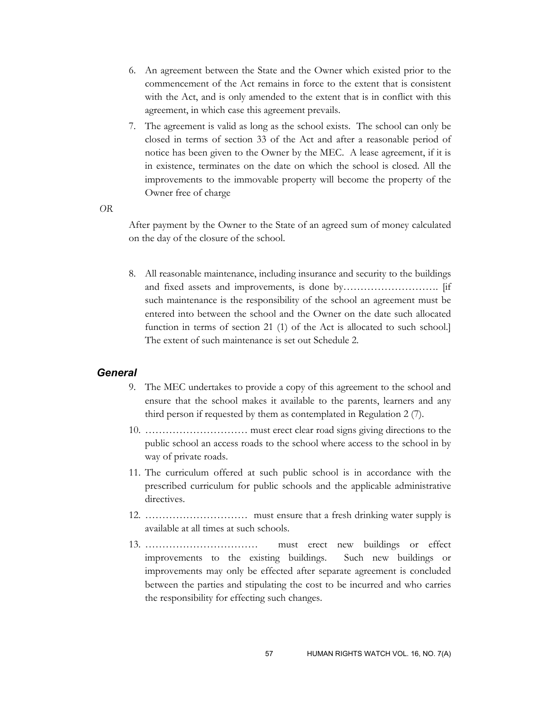- 6. An agreement between the State and the Owner which existed prior to the commencement of the Act remains in force to the extent that is consistent with the Act, and is only amended to the extent that is in conflict with this agreement, in which case this agreement prevails.
- 7. The agreement is valid as long as the school exists. The school can only be closed in terms of section 33 of the Act and after a reasonable period of notice has been given to the Owner by the MEC. A lease agreement, if it is in existence, terminates on the date on which the school is closed. All the improvements to the immovable property will become the property of the Owner free of charge

*OR* 

After payment by the Owner to the State of an agreed sum of money calculated on the day of the closure of the school.

8. All reasonable maintenance, including insurance and security to the buildings and fixed assets and improvements, is done by………………………. [if such maintenance is the responsibility of the school an agreement must be entered into between the school and the Owner on the date such allocated function in terms of section 21 (1) of the Act is allocated to such school.] The extent of such maintenance is set out Schedule 2.

# *General*

- 9. The MEC undertakes to provide a copy of this agreement to the school and ensure that the school makes it available to the parents, learners and any third person if requested by them as contemplated in Regulation 2 (7).
- 10. ………………………… must erect clear road signs giving directions to the public school an access roads to the school where access to the school in by way of private roads.
- 11. The curriculum offered at such public school is in accordance with the prescribed curriculum for public schools and the applicable administrative directives.
- 12. ………………………… must ensure that a fresh drinking water supply is available at all times at such schools.
- 13. …………………………… must erect new buildings or effect improvements to the existing buildings. Such new buildings or improvements may only be effected after separate agreement is concluded between the parties and stipulating the cost to be incurred and who carries the responsibility for effecting such changes.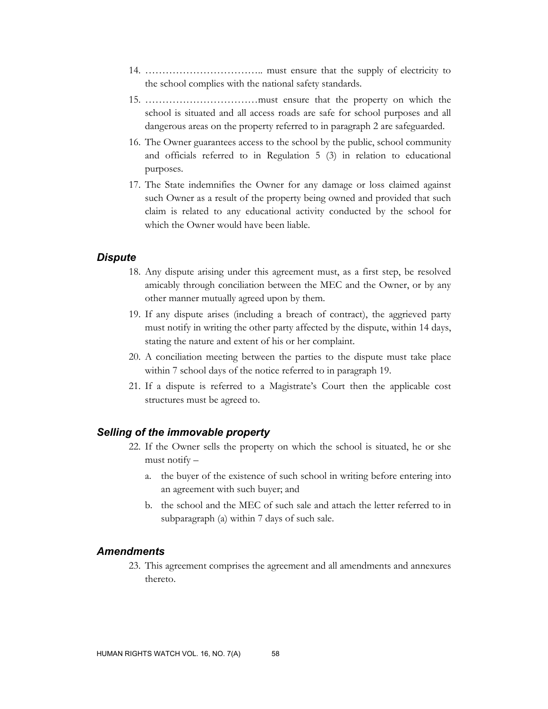- 14. …………………………….. must ensure that the supply of electricity to the school complies with the national safety standards.
- 15. ……………………………must ensure that the property on which the school is situated and all access roads are safe for school purposes and all dangerous areas on the property referred to in paragraph 2 are safeguarded.
- 16. The Owner guarantees access to the school by the public, school community and officials referred to in Regulation 5 (3) in relation to educational purposes.
- 17. The State indemnifies the Owner for any damage or loss claimed against such Owner as a result of the property being owned and provided that such claim is related to any educational activity conducted by the school for which the Owner would have been liable.

#### *Dispute*

- 18. Any dispute arising under this agreement must, as a first step, be resolved amicably through conciliation between the MEC and the Owner, or by any other manner mutually agreed upon by them.
- 19. If any dispute arises (including a breach of contract), the aggrieved party must notify in writing the other party affected by the dispute, within 14 days, stating the nature and extent of his or her complaint.
- 20. A conciliation meeting between the parties to the dispute must take place within 7 school days of the notice referred to in paragraph 19.
- 21. If a dispute is referred to a Magistrate's Court then the applicable cost structures must be agreed to.

### *Selling of the immovable property*

- 22. If the Owner sells the property on which the school is situated, he or she must notify –
	- a. the buyer of the existence of such school in writing before entering into an agreement with such buyer; and
	- b. the school and the MEC of such sale and attach the letter referred to in subparagraph (a) within 7 days of such sale.

## *Amendments*

23. This agreement comprises the agreement and all amendments and annexures thereto.